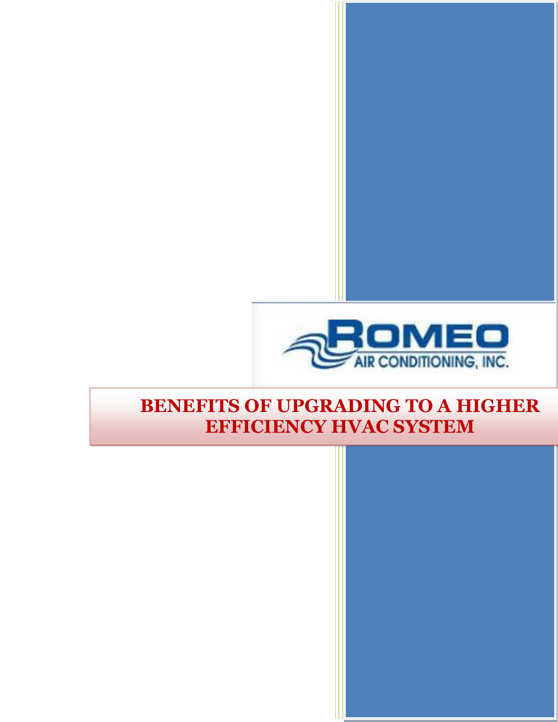

### **BENEFITS OF UPGRADING TO A HIGHER EFFICIENCY HVAC SYSTEM**

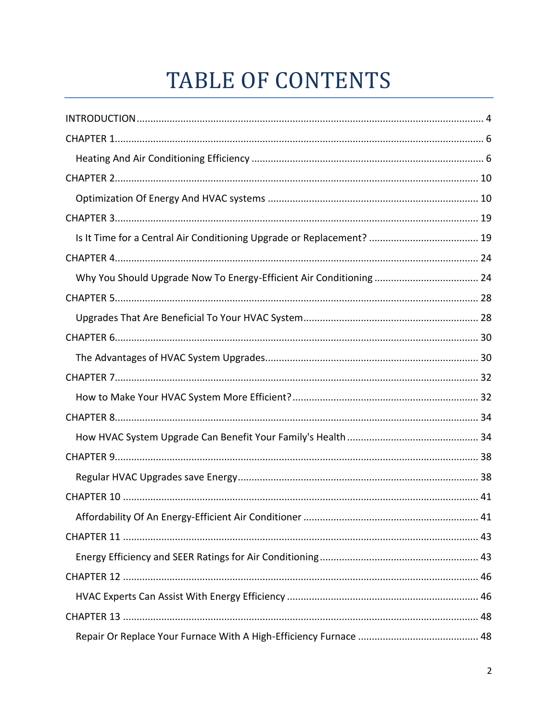# **TABLE OF CONTENTS**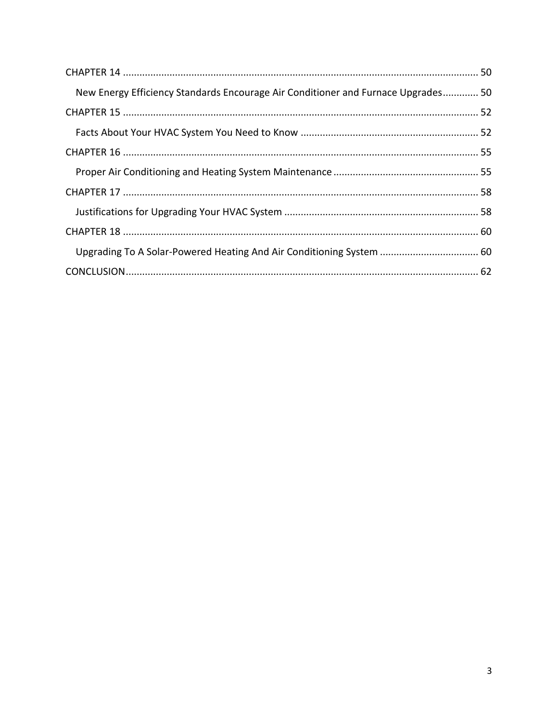| New Energy Efficiency Standards Encourage Air Conditioner and Furnace Upgrades 50 |  |
|-----------------------------------------------------------------------------------|--|
|                                                                                   |  |
|                                                                                   |  |
|                                                                                   |  |
|                                                                                   |  |
|                                                                                   |  |
|                                                                                   |  |
|                                                                                   |  |
| Upgrading To A Solar-Powered Heating And Air Conditioning System  60              |  |
|                                                                                   |  |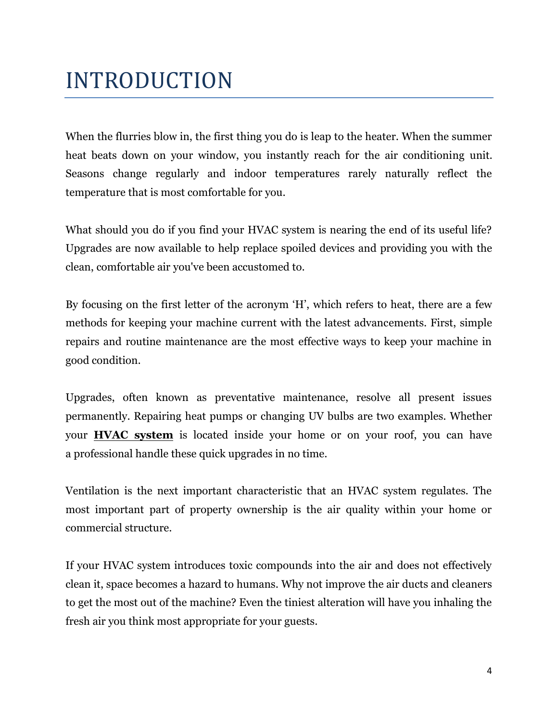# <span id="page-3-0"></span>INTRODUCTION

When the flurries blow in, the first thing you do is leap to the heater. When the summer heat beats down on your window, you instantly reach for the air conditioning unit. Seasons change regularly and indoor temperatures rarely naturally reflect the temperature that is most comfortable for you.

What should you do if you find your HVAC system is nearing the end of its useful life? Upgrades are now available to help replace spoiled devices and providing you with the clean, comfortable air you've been accustomed to.

By focusing on the first letter of the acronym 'H', which refers to heat, there are a few methods for keeping your machine current with the latest advancements. First, simple repairs and routine maintenance are the most effective ways to keep your machine in good condition.

Upgrades, often known as preventative maintenance, resolve all present issues permanently. Repairing heat pumps or changing UV bulbs are two examples. Whether your **[HVAC system](https://romeoair.com/)** is located inside your home or on your roof, you can have a professional handle these quick upgrades in no time.

Ventilation is the next important characteristic that an HVAC system regulates. The most important part of property ownership is the air quality within your home or commercial structure.

If your HVAC system introduces toxic compounds into the air and does not effectively clean it, space becomes a hazard to humans. Why not improve the air ducts and cleaners to get the most out of the machine? Even the tiniest alteration will have you inhaling the fresh air you think most appropriate for your guests.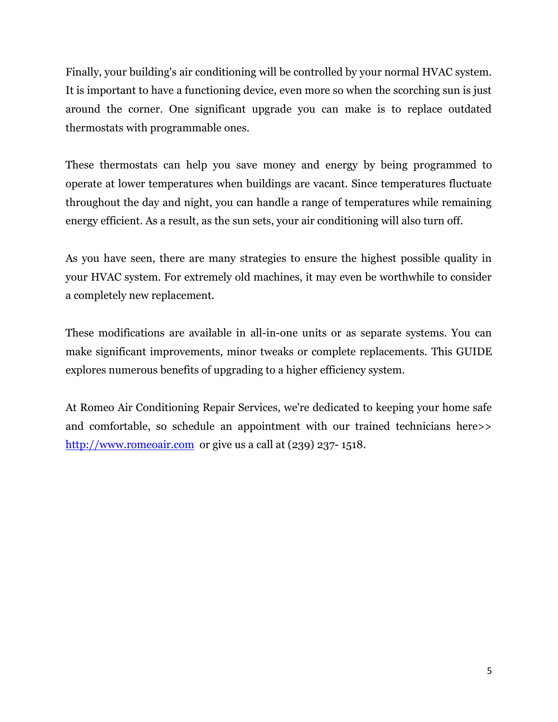Finally, your building's air conditioning will be controlled by your normal HVAC system. It is important to have a functioning device, even more so when the scorching sun is just around the corner. One significant upgrade you can make is to replace outdated thermostats with programmable ones.

These thermostats can help you save money and energy by being programmed to operate at lower temperatures when buildings are vacant. Since temperatures fluctuate throughout the day and night, you can handle a range of temperatures while remaining energy efficient. As a result, as the sun sets, your air conditioning will also turn off.

As you have seen, there are many strategies to ensure the highest possible quality in your HVAC system. For extremely old machines, it may even be worthwhile to consider a completely new replacement.

These modifications are available in all-in-one units or as separate systems. You can make significant improvements, minor tweaks or complete replacements. This GUIDE explores numerous benefits of upgrading to a higher efficiency system.

At Romeo Air Conditioning Repair Services, we're dedicated to keeping your home safe and comfortable, so schedule an appointment with our trained technicians here>> [http://www.romeoair.com](http://www.romeoair.com/) or give us a call at (239) 237-1518.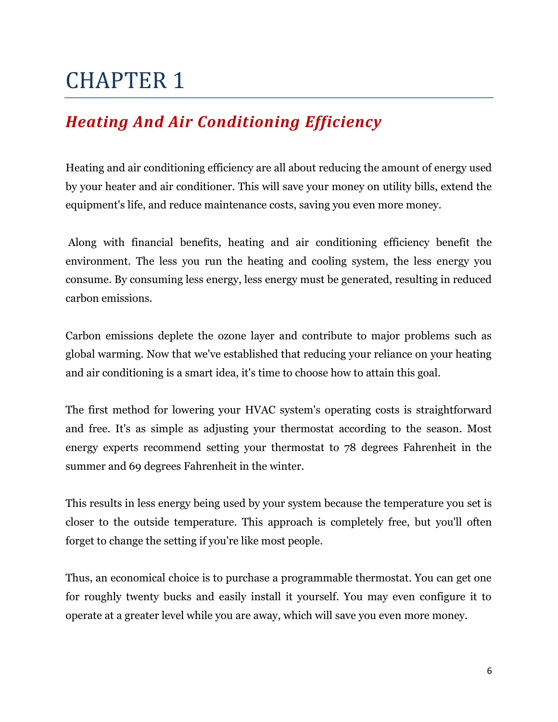### <span id="page-5-1"></span><span id="page-5-0"></span>*Heating And Air Conditioning Efficiency*

Heating and air conditioning efficiency are all about reducing the amount of energy used by your heater and air conditioner. This will save your money on utility bills, extend the equipment's life, and reduce maintenance costs, saving you even more money.

 Along with financial benefits, heating and air conditioning efficiency benefit the environment. The less you run the heating and cooling system, the less energy you consume. By consuming less energy, less energy must be generated, resulting in reduced carbon emissions.

Carbon emissions deplete the ozone layer and contribute to major problems such as global warming. Now that we've established that reducing your reliance on your heating and air conditioning is a smart idea, it's time to choose how to attain this goal.

The first method for lowering your HVAC system's operating costs is straightforward and free. It's as simple as adjusting your thermostat according to the season. Most energy experts recommend setting your thermostat to 78 degrees Fahrenheit in the summer and 69 degrees Fahrenheit in the winter.

This results in less energy being used by your system because the temperature you set is closer to the outside temperature. This approach is completely free, but you'll often forget to change the setting if you're like most people.

Thus, an economical choice is to purchase a programmable thermostat. You can get one for roughly twenty bucks and easily install it yourself. You may even configure it to operate at a greater level while you are away, which will save you even more money.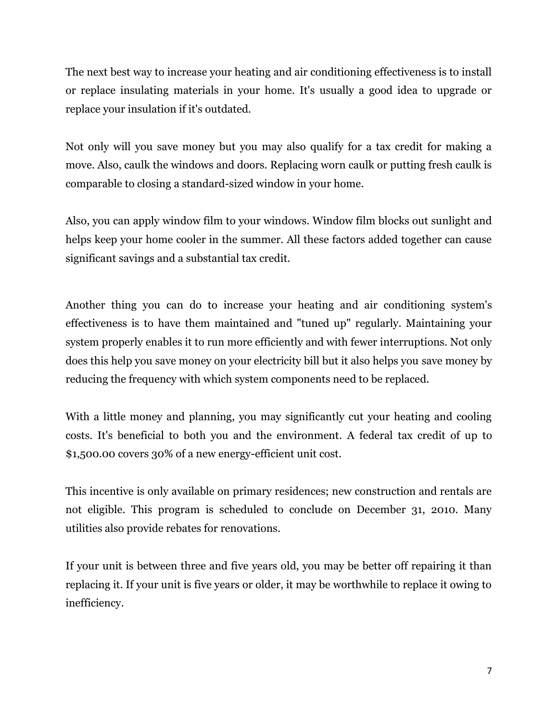The next best way to increase your heating and air conditioning effectiveness is to install or replace insulating materials in your home. It's usually a good idea to upgrade or replace your insulation if it's outdated.

Not only will you save money but you may also qualify for a tax credit for making a move. Also, caulk the windows and doors. Replacing worn caulk or putting fresh caulk is comparable to closing a standard-sized window in your home.

Also, you can apply window film to your windows. Window film blocks out sunlight and helps keep your home cooler in the summer. All these factors added together can cause significant savings and a substantial tax credit.

Another thing you can do to increase your heating and air conditioning system's effectiveness is to have them maintained and "tuned up" regularly. Maintaining your system properly enables it to run more efficiently and with fewer interruptions. Not only does this help you save money on your electricity bill but it also helps you save money by reducing the frequency with which system components need to be replaced.

With a little money and planning, you may significantly cut your heating and cooling costs. It's beneficial to both you and the environment. A federal tax credit of up to \$1,500.00 covers 30% of a new energy-efficient unit cost.

This incentive is only available on primary residences; new construction and rentals are not eligible. This program is scheduled to conclude on December 31, 2010. Many utilities also provide rebates for renovations.

If your unit is between three and five years old, you may be better off repairing it than replacing it. If your unit is five years or older, it may be worthwhile to replace it owing to inefficiency.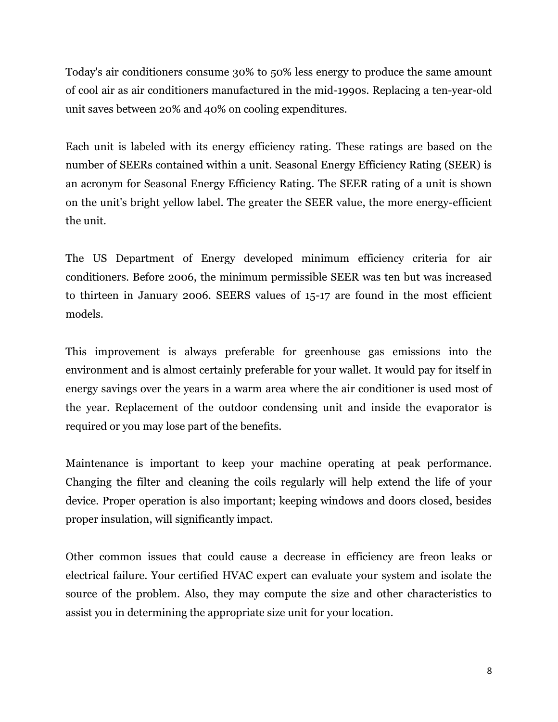Today's air conditioners consume 30% to 50% less energy to produce the same amount of cool air as air conditioners manufactured in the mid-1990s. Replacing a ten-year-old unit saves between 20% and 40% on cooling expenditures.

Each unit is labeled with its energy efficiency rating. These ratings are based on the number of SEERs contained within a unit. Seasonal Energy Efficiency Rating (SEER) is an acronym for Seasonal Energy Efficiency Rating. The SEER rating of a unit is shown on the unit's bright yellow label. The greater the SEER value, the more energy-efficient the unit.

The US Department of Energy developed minimum efficiency criteria for air conditioners. Before 2006, the minimum permissible SEER was ten but was increased to thirteen in January 2006. SEERS values of 15-17 are found in the most efficient models.

This improvement is always preferable for greenhouse gas emissions into the environment and is almost certainly preferable for your wallet. It would pay for itself in energy savings over the years in a warm area where the air conditioner is used most of the year. Replacement of the outdoor condensing unit and inside the evaporator is required or you may lose part of the benefits.

Maintenance is important to keep your machine operating at peak performance. Changing the filter and cleaning the coils regularly will help extend the life of your device. Proper operation is also important; keeping windows and doors closed, besides proper insulation, will significantly impact.

Other common issues that could cause a decrease in efficiency are freon leaks or electrical failure. Your certified HVAC expert can evaluate your system and isolate the source of the problem. Also, they may compute the size and other characteristics to assist you in determining the appropriate size unit for your location.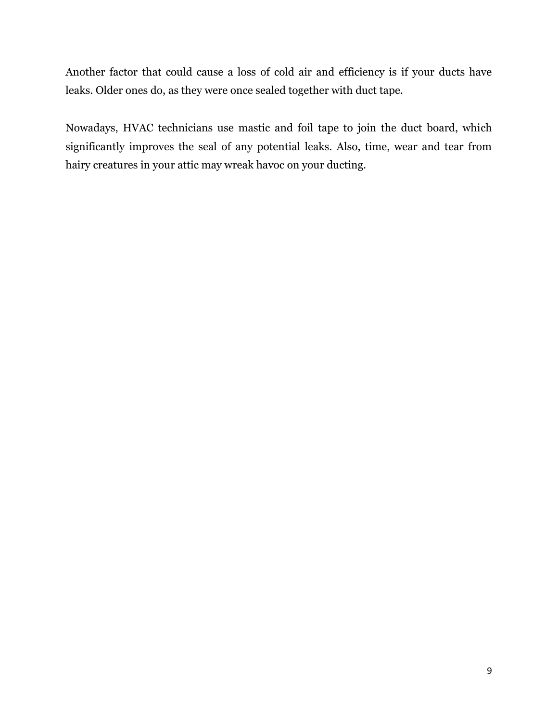Another factor that could cause a loss of cold air and efficiency is if your ducts have leaks. Older ones do, as they were once sealed together with duct tape.

Nowadays, HVAC technicians use mastic and foil tape to join the duct board, which significantly improves the seal of any potential leaks. Also, time, wear and tear from hairy creatures in your attic may wreak havoc on your ducting.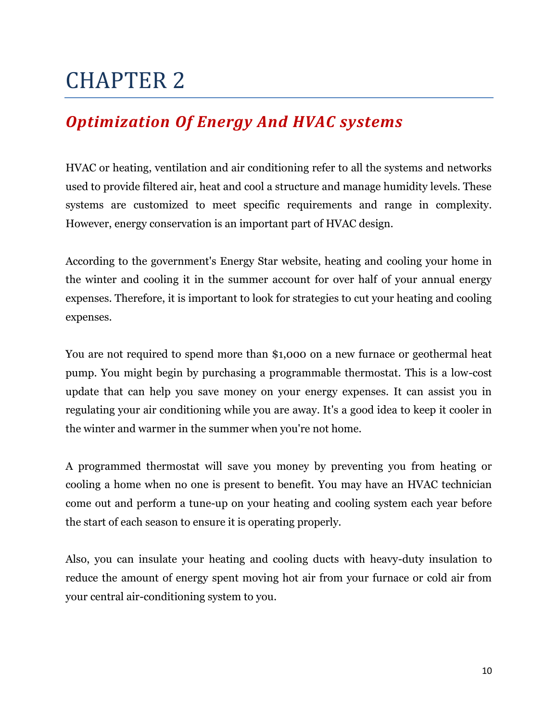### <span id="page-9-1"></span><span id="page-9-0"></span>*Optimization Of Energy And HVAC systems*

HVAC or heating, ventilation and air conditioning refer to all the systems and networks used to provide filtered air, heat and cool a structure and manage humidity levels. These systems are customized to meet specific requirements and range in complexity. However, energy conservation is an important part of HVAC design.

According to the government's Energy Star website, heating and cooling your home in the winter and cooling it in the summer account for over half of your annual energy expenses. Therefore, it is important to look for strategies to cut your heating and cooling expenses.

You are not required to spend more than \$1,000 on a new furnace or geothermal heat pump. You might begin by purchasing a programmable thermostat. This is a low-cost update that can help you save money on your energy expenses. It can assist you in regulating your air conditioning while you are away. It's a good idea to keep it cooler in the winter and warmer in the summer when you're not home.

A programmed thermostat will save you money by preventing you from heating or cooling a home when no one is present to benefit. You may have an HVAC technician come out and perform a tune-up on your heating and cooling system each year before the start of each season to ensure it is operating properly.

Also, you can insulate your heating and cooling ducts with heavy-duty insulation to reduce the amount of energy spent moving hot air from your furnace or cold air from your central air-conditioning system to you.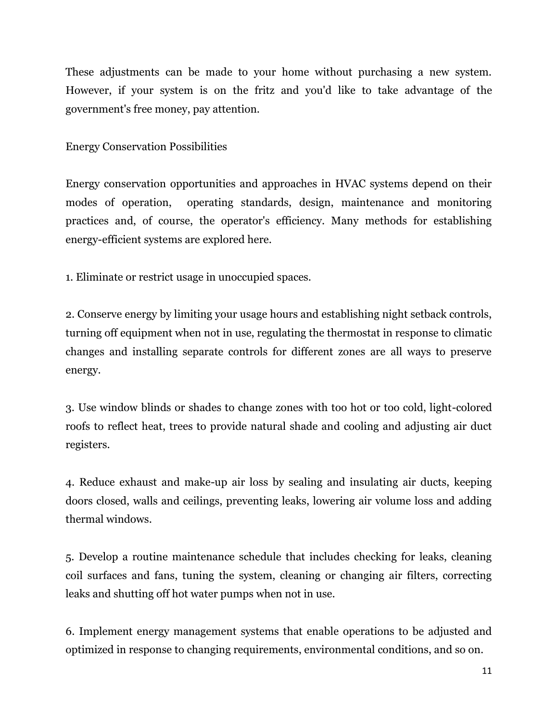These adjustments can be made to your home without purchasing a new system. However, if your system is on the fritz and you'd like to take advantage of the government's free money, pay attention.

Energy Conservation Possibilities

Energy conservation opportunities and approaches in HVAC systems depend on their modes of operation, operating standards, design, maintenance and monitoring practices and, of course, the operator's efficiency. Many methods for establishing energy-efficient systems are explored here.

1. Eliminate or restrict usage in unoccupied spaces.

2. Conserve energy by limiting your usage hours and establishing night setback controls, turning off equipment when not in use, regulating the thermostat in response to climatic changes and installing separate controls for different zones are all ways to preserve energy.

3. Use window blinds or shades to change zones with too hot or too cold, light-colored roofs to reflect heat, trees to provide natural shade and cooling and adjusting air duct registers.

4. Reduce exhaust and make-up air loss by sealing and insulating air ducts, keeping doors closed, walls and ceilings, preventing leaks, lowering air volume loss and adding thermal windows.

5. Develop a routine maintenance schedule that includes checking for leaks, cleaning coil surfaces and fans, tuning the system, cleaning or changing air filters, correcting leaks and shutting off hot water pumps when not in use.

6. Implement energy management systems that enable operations to be adjusted and optimized in response to changing requirements, environmental conditions, and so on.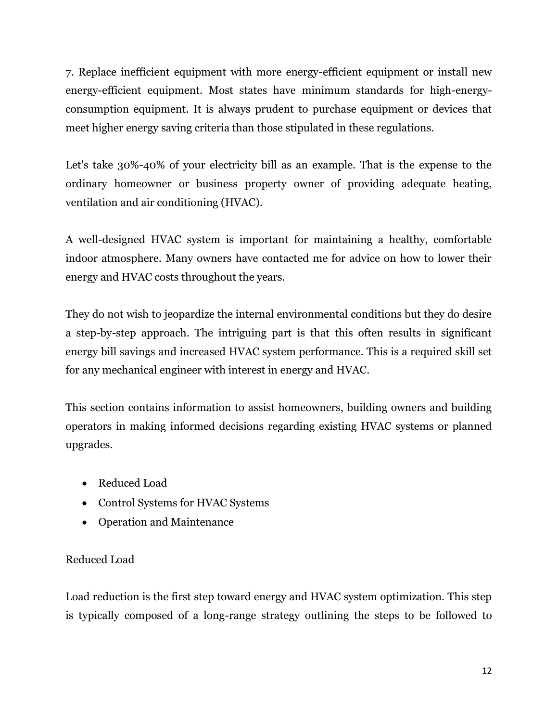7. Replace inefficient equipment with more energy-efficient equipment or install new energy-efficient equipment. Most states have minimum standards for high-energyconsumption equipment. It is always prudent to purchase equipment or devices that meet higher energy saving criteria than those stipulated in these regulations.

Let's take 30%-40% of your electricity bill as an example. That is the expense to the ordinary homeowner or business property owner of providing adequate heating, ventilation and air conditioning (HVAC).

A well-designed HVAC system is important for maintaining a healthy, comfortable indoor atmosphere. Many owners have contacted me for advice on how to lower their energy and HVAC costs throughout the years.

They do not wish to jeopardize the internal environmental conditions but they do desire a step-by-step approach. The intriguing part is that this often results in significant energy bill savings and increased HVAC system performance. This is a required skill set for any mechanical engineer with interest in energy and HVAC.

This section contains information to assist homeowners, building owners and building operators in making informed decisions regarding existing HVAC systems or planned upgrades.

- Reduced Load
- Control Systems for HVAC Systems
- Operation and Maintenance

#### Reduced Load

Load reduction is the first step toward energy and HVAC system optimization. This step is typically composed of a long-range strategy outlining the steps to be followed to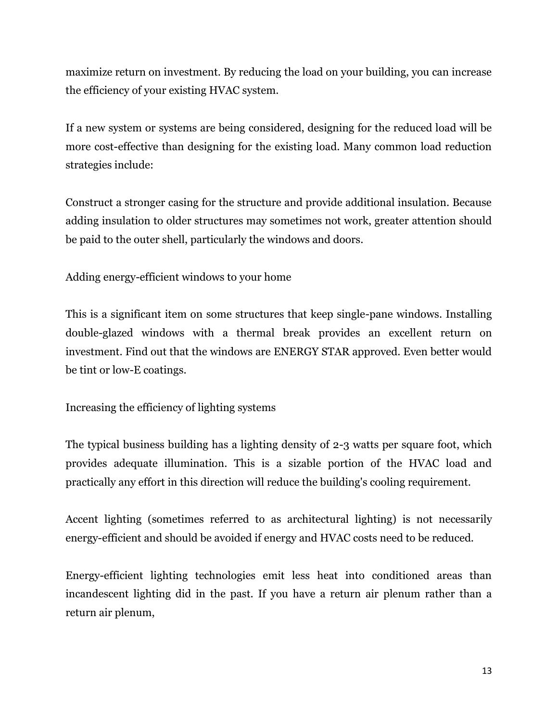maximize return on investment. By reducing the load on your building, you can increase the efficiency of your existing HVAC system.

If a new system or systems are being considered, designing for the reduced load will be more cost-effective than designing for the existing load. Many common load reduction strategies include:

Construct a stronger casing for the structure and provide additional insulation. Because adding insulation to older structures may sometimes not work, greater attention should be paid to the outer shell, particularly the windows and doors.

Adding energy-efficient windows to your home

This is a significant item on some structures that keep single-pane windows. Installing double-glazed windows with a thermal break provides an excellent return on investment. Find out that the windows are ENERGY STAR approved. Even better would be tint or low-E coatings.

Increasing the efficiency of lighting systems

The typical business building has a lighting density of 2-3 watts per square foot, which provides adequate illumination. This is a sizable portion of the HVAC load and practically any effort in this direction will reduce the building's cooling requirement.

Accent lighting (sometimes referred to as architectural lighting) is not necessarily energy-efficient and should be avoided if energy and HVAC costs need to be reduced.

Energy-efficient lighting technologies emit less heat into conditioned areas than incandescent lighting did in the past. If you have a return air plenum rather than a return air plenum,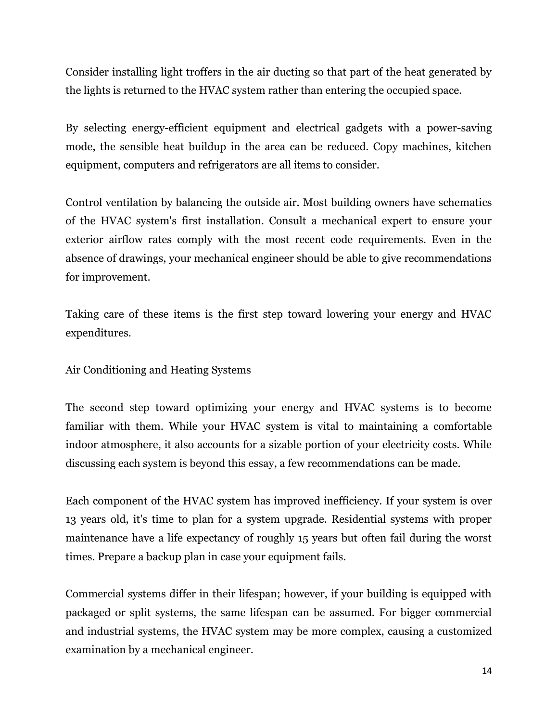Consider installing light troffers in the air ducting so that part of the heat generated by the lights is returned to the HVAC system rather than entering the occupied space.

By selecting energy-efficient equipment and electrical gadgets with a power-saving mode, the sensible heat buildup in the area can be reduced. Copy machines, kitchen equipment, computers and refrigerators are all items to consider.

Control ventilation by balancing the outside air. Most building owners have schematics of the HVAC system's first installation. Consult a mechanical expert to ensure your exterior airflow rates comply with the most recent code requirements. Even in the absence of drawings, your mechanical engineer should be able to give recommendations for improvement.

Taking care of these items is the first step toward lowering your energy and HVAC expenditures.

Air Conditioning and Heating Systems

The second step toward optimizing your energy and HVAC systems is to become familiar with them. While your HVAC system is vital to maintaining a comfortable indoor atmosphere, it also accounts for a sizable portion of your electricity costs. While discussing each system is beyond this essay, a few recommendations can be made.

Each component of the HVAC system has improved inefficiency. If your system is over 13 years old, it's time to plan for a system upgrade. Residential systems with proper maintenance have a life expectancy of roughly 15 years but often fail during the worst times. Prepare a backup plan in case your equipment fails.

Commercial systems differ in their lifespan; however, if your building is equipped with packaged or split systems, the same lifespan can be assumed. For bigger commercial and industrial systems, the HVAC system may be more complex, causing a customized examination by a mechanical engineer.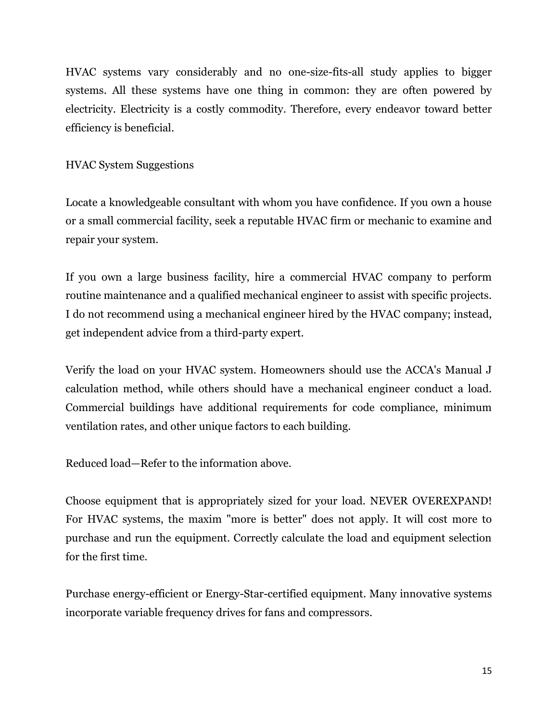HVAC systems vary considerably and no one-size-fits-all study applies to bigger systems. All these systems have one thing in common: they are often powered by electricity. Electricity is a costly commodity. Therefore, every endeavor toward better efficiency is beneficial.

#### HVAC System Suggestions

Locate a knowledgeable consultant with whom you have confidence. If you own a house or a small commercial facility, seek a reputable HVAC firm or mechanic to examine and repair your system.

If you own a large business facility, hire a commercial HVAC company to perform routine maintenance and a qualified mechanical engineer to assist with specific projects. I do not recommend using a mechanical engineer hired by the HVAC company; instead, get independent advice from a third-party expert.

Verify the load on your HVAC system. Homeowners should use the ACCA's Manual J calculation method, while others should have a mechanical engineer conduct a load. Commercial buildings have additional requirements for code compliance, minimum ventilation rates, and other unique factors to each building.

Reduced load—Refer to the information above.

Choose equipment that is appropriately sized for your load. NEVER OVEREXPAND! For HVAC systems, the maxim "more is better" does not apply. It will cost more to purchase and run the equipment. Correctly calculate the load and equipment selection for the first time.

Purchase energy-efficient or Energy-Star-certified equipment. Many innovative systems incorporate variable frequency drives for fans and compressors.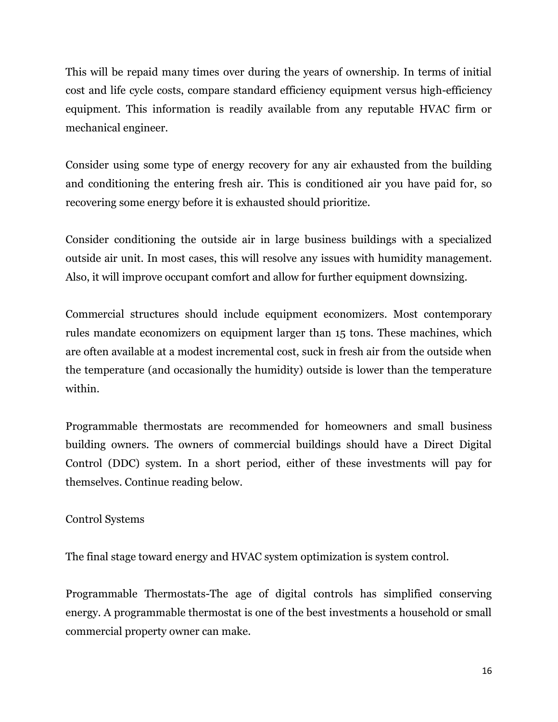This will be repaid many times over during the years of ownership. In terms of initial cost and life cycle costs, compare standard efficiency equipment versus high-efficiency equipment. This information is readily available from any reputable HVAC firm or mechanical engineer.

Consider using some type of energy recovery for any air exhausted from the building and conditioning the entering fresh air. This is conditioned air you have paid for, so recovering some energy before it is exhausted should prioritize.

Consider conditioning the outside air in large business buildings with a specialized outside air unit. In most cases, this will resolve any issues with humidity management. Also, it will improve occupant comfort and allow for further equipment downsizing.

Commercial structures should include equipment economizers. Most contemporary rules mandate economizers on equipment larger than 15 tons. These machines, which are often available at a modest incremental cost, suck in fresh air from the outside when the temperature (and occasionally the humidity) outside is lower than the temperature within.

Programmable thermostats are recommended for homeowners and small business building owners. The owners of commercial buildings should have a Direct Digital Control (DDC) system. In a short period, either of these investments will pay for themselves. Continue reading below.

#### Control Systems

The final stage toward energy and HVAC system optimization is system control.

Programmable Thermostats-The age of digital controls has simplified conserving energy. A programmable thermostat is one of the best investments a household or small commercial property owner can make.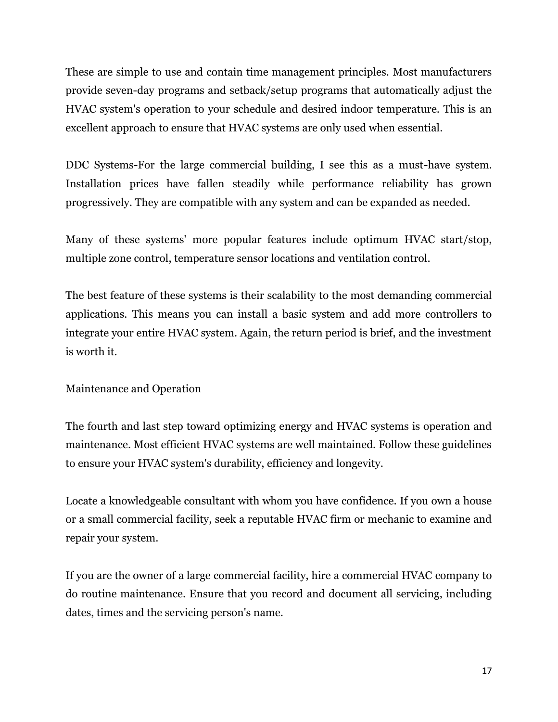These are simple to use and contain time management principles. Most manufacturers provide seven-day programs and setback/setup programs that automatically adjust the HVAC system's operation to your schedule and desired indoor temperature. This is an excellent approach to ensure that HVAC systems are only used when essential.

DDC Systems-For the large commercial building, I see this as a must-have system. Installation prices have fallen steadily while performance reliability has grown progressively. They are compatible with any system and can be expanded as needed.

Many of these systems' more popular features include optimum HVAC start/stop, multiple zone control, temperature sensor locations and ventilation control.

The best feature of these systems is their scalability to the most demanding commercial applications. This means you can install a basic system and add more controllers to integrate your entire HVAC system. Again, the return period is brief, and the investment is worth it.

Maintenance and Operation

The fourth and last step toward optimizing energy and HVAC systems is operation and maintenance. Most efficient HVAC systems are well maintained. Follow these guidelines to ensure your HVAC system's durability, efficiency and longevity.

Locate a knowledgeable consultant with whom you have confidence. If you own a house or a small commercial facility, seek a reputable HVAC firm or mechanic to examine and repair your system.

If you are the owner of a large commercial facility, hire a commercial HVAC company to do routine maintenance. Ensure that you record and document all servicing, including dates, times and the servicing person's name.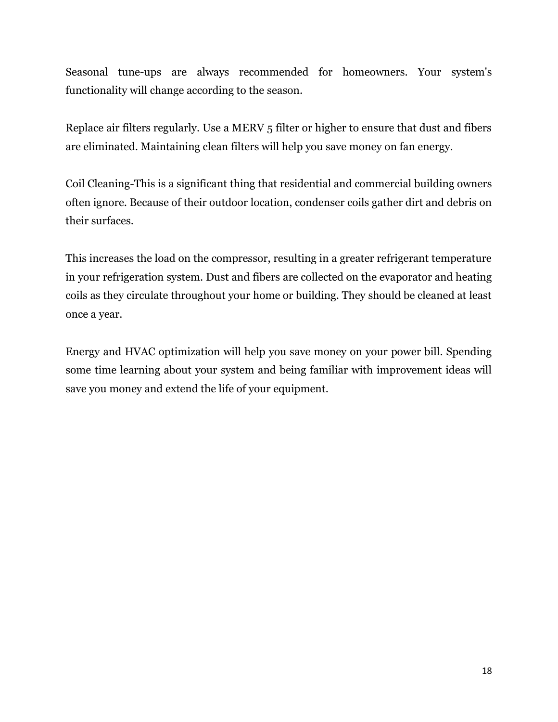Seasonal tune-ups are always recommended for homeowners. Your system's functionality will change according to the season.

Replace air filters regularly. Use a MERV 5 filter or higher to ensure that dust and fibers are eliminated. Maintaining clean filters will help you save money on fan energy.

Coil Cleaning-This is a significant thing that residential and commercial building owners often ignore. Because of their outdoor location, condenser coils gather dirt and debris on their surfaces.

This increases the load on the compressor, resulting in a greater refrigerant temperature in your refrigeration system. Dust and fibers are collected on the evaporator and heating coils as they circulate throughout your home or building. They should be cleaned at least once a year.

Energy and HVAC optimization will help you save money on your power bill. Spending some time learning about your system and being familiar with improvement ideas will save you money and extend the life of your equipment.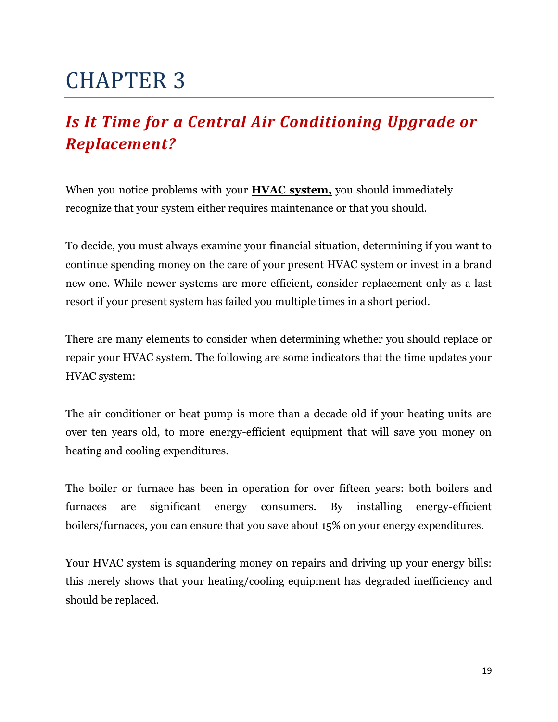## <span id="page-18-1"></span><span id="page-18-0"></span>*Is It Time for a Central Air Conditioning Upgrade or Replacement?*

When you notice problems with your **[HVAC system,](https://romeoair.com/)** you should immediately recognize that your system either requires maintenance or that you should.

To decide, you must always examine your financial situation, determining if you want to continue spending money on the care of your present HVAC system or invest in a brand new one. While newer systems are more efficient, consider replacement only as a last resort if your present system has failed you multiple times in a short period.

There are many elements to consider when determining whether you should replace or repair your HVAC system. The following are some indicators that the time updates your HVAC system:

The air conditioner or heat pump is more than a decade old if your heating units are over ten years old, to more energy-efficient equipment that will save you money on heating and cooling expenditures.

The boiler or furnace has been in operation for over fifteen years: both boilers and furnaces are significant energy consumers. By installing energy-efficient boilers/furnaces, you can ensure that you save about 15% on your energy expenditures.

Your HVAC system is squandering money on repairs and driving up your energy bills: this merely shows that your heating/cooling equipment has degraded inefficiency and should be replaced.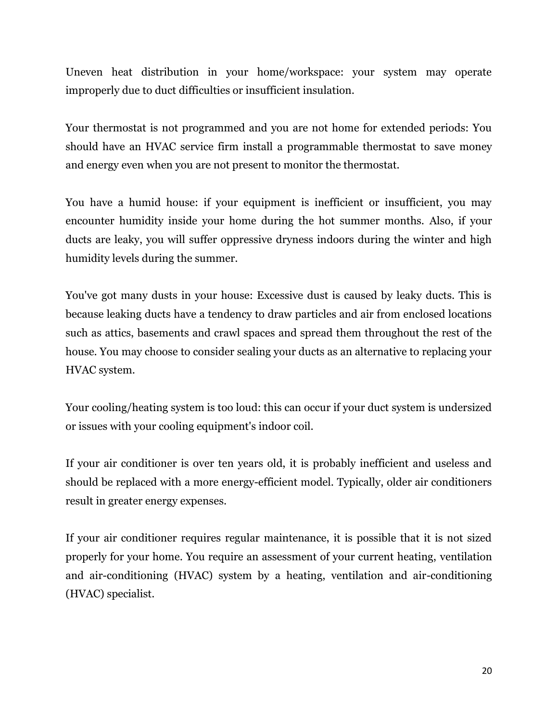Uneven heat distribution in your home/workspace: your system may operate improperly due to duct difficulties or insufficient insulation.

Your thermostat is not programmed and you are not home for extended periods: You should have an HVAC service firm install a programmable thermostat to save money and energy even when you are not present to monitor the thermostat.

You have a humid house: if your equipment is inefficient or insufficient, you may encounter humidity inside your home during the hot summer months. Also, if your ducts are leaky, you will suffer oppressive dryness indoors during the winter and high humidity levels during the summer.

You've got many dusts in your house: Excessive dust is caused by leaky ducts. This is because leaking ducts have a tendency to draw particles and air from enclosed locations such as attics, basements and crawl spaces and spread them throughout the rest of the house. You may choose to consider sealing your ducts as an alternative to replacing your HVAC system.

Your cooling/heating system is too loud: this can occur if your duct system is undersized or issues with your cooling equipment's indoor coil.

If your air conditioner is over ten years old, it is probably inefficient and useless and should be replaced with a more energy-efficient model. Typically, older air conditioners result in greater energy expenses.

If your air conditioner requires regular maintenance, it is possible that it is not sized properly for your home. You require an assessment of your current heating, ventilation and air-conditioning (HVAC) system by a heating, ventilation and air-conditioning (HVAC) specialist.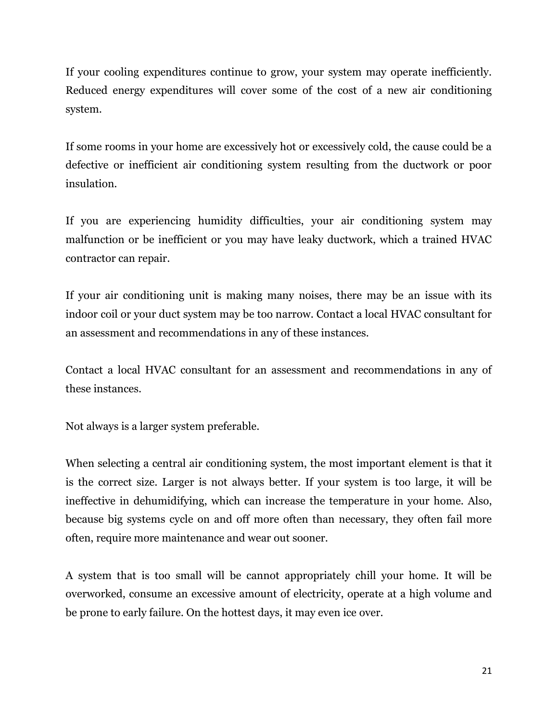If your cooling expenditures continue to grow, your system may operate inefficiently. Reduced energy expenditures will cover some of the cost of a new air conditioning system.

If some rooms in your home are excessively hot or excessively cold, the cause could be a defective or inefficient air conditioning system resulting from the ductwork or poor insulation.

If you are experiencing humidity difficulties, your air conditioning system may malfunction or be inefficient or you may have leaky ductwork, which a trained HVAC contractor can repair.

If your air conditioning unit is making many noises, there may be an issue with its indoor coil or your duct system may be too narrow. Contact a local HVAC consultant for an assessment and recommendations in any of these instances.

Contact a local HVAC consultant for an assessment and recommendations in any of these instances.

Not always is a larger system preferable.

When selecting a central air conditioning system, the most important element is that it is the correct size. Larger is not always better. If your system is too large, it will be ineffective in dehumidifying, which can increase the temperature in your home. Also, because big systems cycle on and off more often than necessary, they often fail more often, require more maintenance and wear out sooner.

A system that is too small will be cannot appropriately chill your home. It will be overworked, consume an excessive amount of electricity, operate at a high volume and be prone to early failure. On the hottest days, it may even ice over.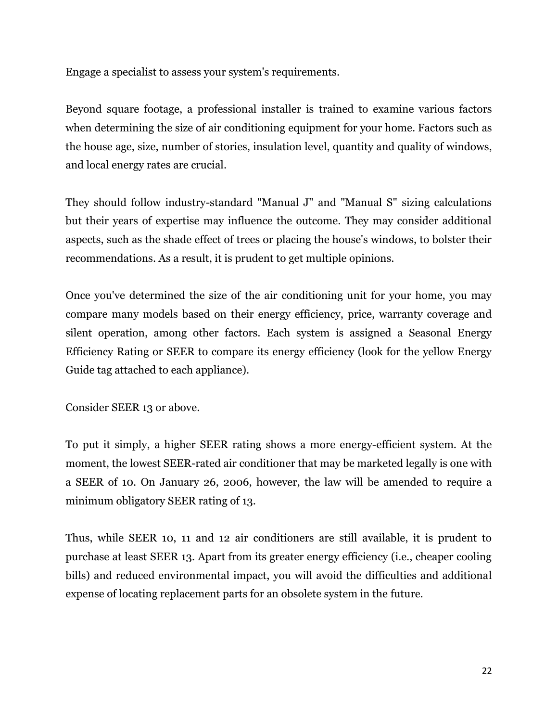Engage a specialist to assess your system's requirements.

Beyond square footage, a professional installer is trained to examine various factors when determining the size of air conditioning equipment for your home. Factors such as the house age, size, number of stories, insulation level, quantity and quality of windows, and local energy rates are crucial.

They should follow industry-standard "Manual J" and "Manual S" sizing calculations but their years of expertise may influence the outcome. They may consider additional aspects, such as the shade effect of trees or placing the house's windows, to bolster their recommendations. As a result, it is prudent to get multiple opinions.

Once you've determined the size of the air conditioning unit for your home, you may compare many models based on their energy efficiency, price, warranty coverage and silent operation, among other factors. Each system is assigned a Seasonal Energy Efficiency Rating or SEER to compare its energy efficiency (look for the yellow Energy Guide tag attached to each appliance).

Consider SEER 13 or above.

To put it simply, a higher SEER rating shows a more energy-efficient system. At the moment, the lowest SEER-rated air conditioner that may be marketed legally is one with a SEER of 10. On January 26, 2006, however, the law will be amended to require a minimum obligatory SEER rating of 13.

Thus, while SEER 10, 11 and 12 air conditioners are still available, it is prudent to purchase at least SEER 13. Apart from its greater energy efficiency (i.e., cheaper cooling bills) and reduced environmental impact, you will avoid the difficulties and additional expense of locating replacement parts for an obsolete system in the future.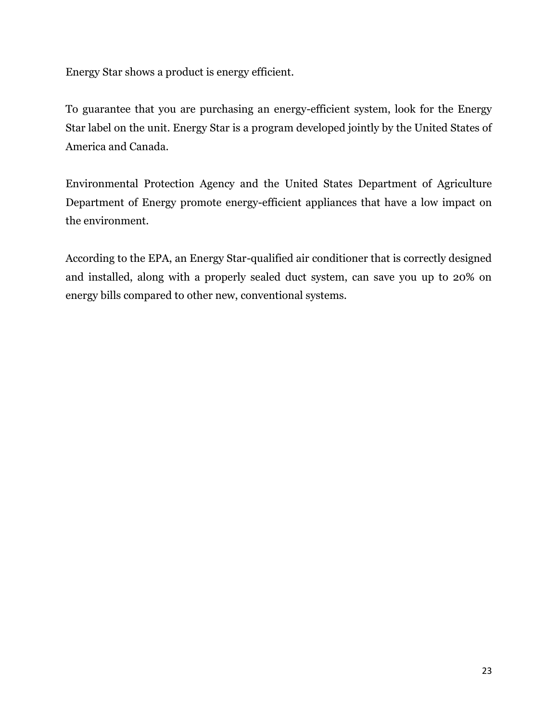Energy Star shows a product is energy efficient.

To guarantee that you are purchasing an energy-efficient system, look for the Energy Star label on the unit. Energy Star is a program developed jointly by the United States of America and Canada.

Environmental Protection Agency and the United States Department of Agriculture Department of Energy promote energy-efficient appliances that have a low impact on the environment.

According to the EPA, an Energy Star-qualified air conditioner that is correctly designed and installed, along with a properly sealed duct system, can save you up to 20% on energy bills compared to other new, conventional systems.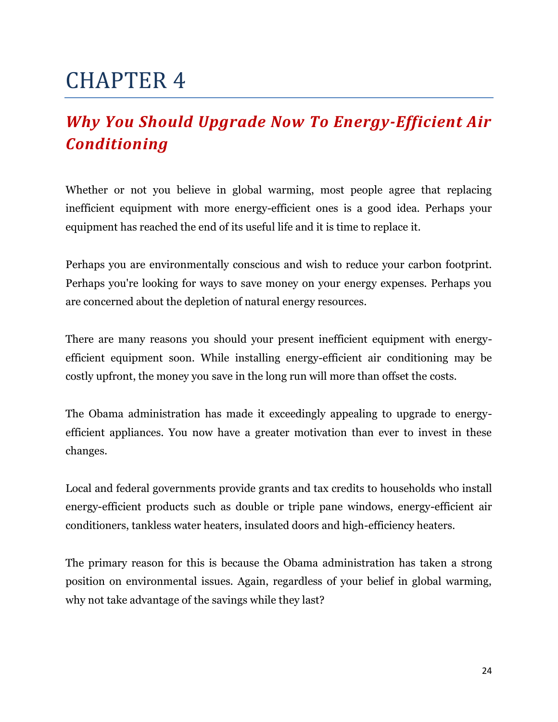## <span id="page-23-1"></span><span id="page-23-0"></span>*Why You Should Upgrade Now To Energy-Efficient Air Conditioning*

Whether or not you believe in global warming, most people agree that replacing inefficient equipment with more energy-efficient ones is a good idea. Perhaps your equipment has reached the end of its useful life and it is time to replace it.

Perhaps you are environmentally conscious and wish to reduce your carbon footprint. Perhaps you're looking for ways to save money on your energy expenses. Perhaps you are concerned about the depletion of natural energy resources.

There are many reasons you should your present inefficient equipment with energyefficient equipment soon. While installing energy-efficient air conditioning may be costly upfront, the money you save in the long run will more than offset the costs.

The Obama administration has made it exceedingly appealing to upgrade to energyefficient appliances. You now have a greater motivation than ever to invest in these changes.

Local and federal governments provide grants and tax credits to households who install energy-efficient products such as double or triple pane windows, energy-efficient air conditioners, tankless water heaters, insulated doors and high-efficiency heaters.

The primary reason for this is because the Obama administration has taken a strong position on environmental issues. Again, regardless of your belief in global warming, why not take advantage of the savings while they last?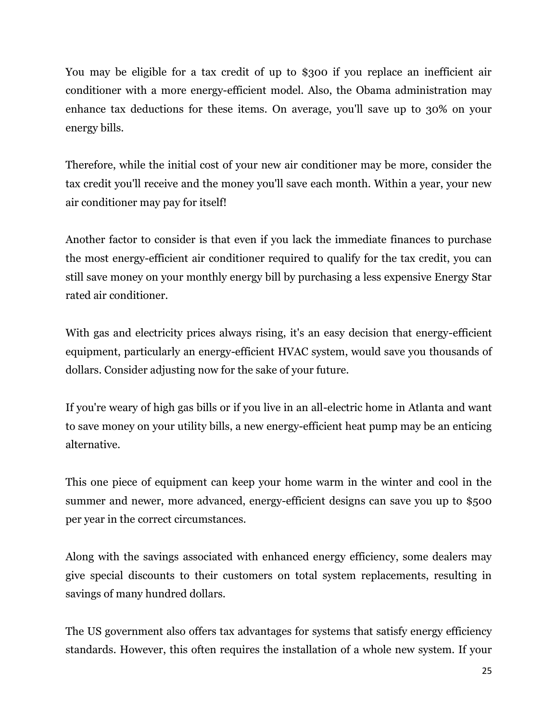You may be eligible for a tax credit of up to \$300 if you replace an inefficient air conditioner with a more energy-efficient model. Also, the Obama administration may enhance tax deductions for these items. On average, you'll save up to 30% on your energy bills.

Therefore, while the initial cost of your new air conditioner may be more, consider the tax credit you'll receive and the money you'll save each month. Within a year, your new air conditioner may pay for itself!

Another factor to consider is that even if you lack the immediate finances to purchase the most energy-efficient air conditioner required to qualify for the tax credit, you can still save money on your monthly energy bill by purchasing a less expensive Energy Star rated air conditioner.

With gas and electricity prices always rising, it's an easy decision that energy-efficient equipment, particularly an energy-efficient HVAC system, would save you thousands of dollars. Consider adjusting now for the sake of your future.

If you're weary of high gas bills or if you live in an all-electric home in Atlanta and want to save money on your utility bills, a new energy-efficient heat pump may be an enticing alternative.

This one piece of equipment can keep your home warm in the winter and cool in the summer and newer, more advanced, energy-efficient designs can save you up to \$500 per year in the correct circumstances.

Along with the savings associated with enhanced energy efficiency, some dealers may give special discounts to their customers on total system replacements, resulting in savings of many hundred dollars.

The US government also offers tax advantages for systems that satisfy energy efficiency standards. However, this often requires the installation of a whole new system. If your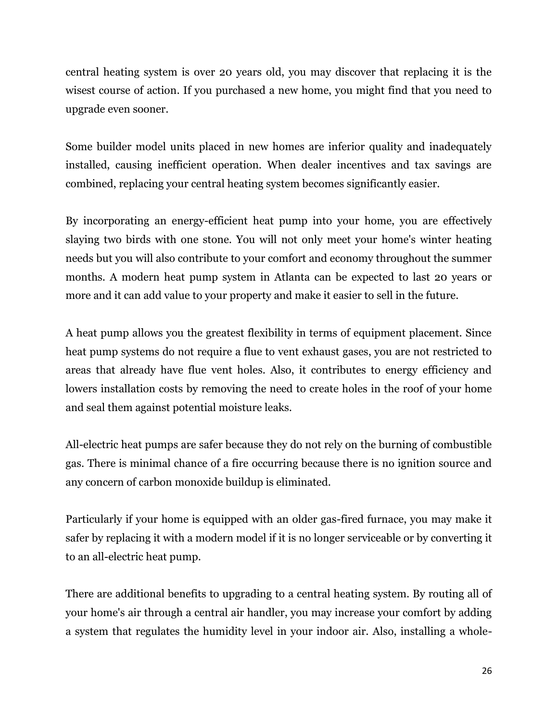central heating system is over 20 years old, you may discover that replacing it is the wisest course of action. If you purchased a new home, you might find that you need to upgrade even sooner.

Some builder model units placed in new homes are inferior quality and inadequately installed, causing inefficient operation. When dealer incentives and tax savings are combined, replacing your central heating system becomes significantly easier.

By incorporating an energy-efficient heat pump into your home, you are effectively slaying two birds with one stone. You will not only meet your home's winter heating needs but you will also contribute to your comfort and economy throughout the summer months. A modern heat pump system in Atlanta can be expected to last 20 years or more and it can add value to your property and make it easier to sell in the future.

A heat pump allows you the greatest flexibility in terms of equipment placement. Since heat pump systems do not require a flue to vent exhaust gases, you are not restricted to areas that already have flue vent holes. Also, it contributes to energy efficiency and lowers installation costs by removing the need to create holes in the roof of your home and seal them against potential moisture leaks.

All-electric heat pumps are safer because they do not rely on the burning of combustible gas. There is minimal chance of a fire occurring because there is no ignition source and any concern of carbon monoxide buildup is eliminated.

Particularly if your home is equipped with an older gas-fired furnace, you may make it safer by replacing it with a modern model if it is no longer serviceable or by converting it to an all-electric heat pump.

There are additional benefits to upgrading to a central heating system. By routing all of your home's air through a central air handler, you may increase your comfort by adding a system that regulates the humidity level in your indoor air. Also, installing a whole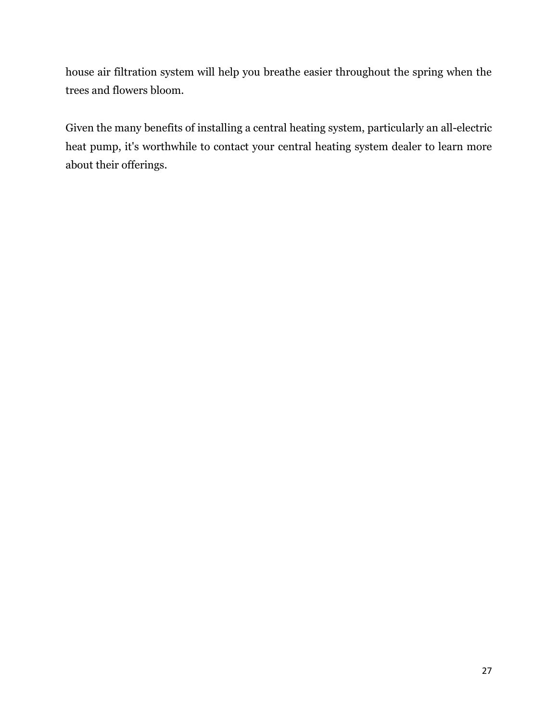house air filtration system will help you breathe easier throughout the spring when the trees and flowers bloom.

Given the many benefits of installing a central heating system, particularly an all-electric heat pump, it's worthwhile to contact your central heating system dealer to learn more about their offerings.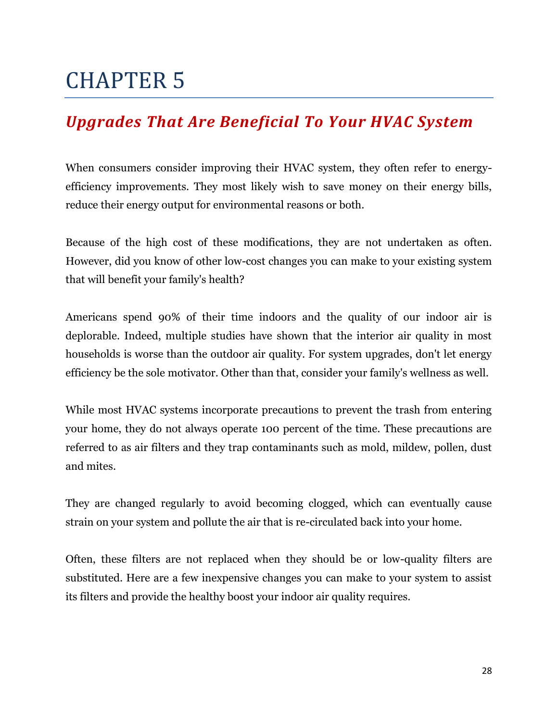### <span id="page-27-1"></span><span id="page-27-0"></span>*Upgrades That Are Beneficial To Your HVAC System*

When consumers consider improving their HVAC system, they often refer to energyefficiency improvements. They most likely wish to save money on their energy bills, reduce their energy output for environmental reasons or both.

Because of the high cost of these modifications, they are not undertaken as often. However, did you know of other low-cost changes you can make to your existing system that will benefit your family's health?

Americans spend 90% of their time indoors and the quality of our indoor air is deplorable. Indeed, multiple studies have shown that the interior air quality in most households is worse than the outdoor air quality. For system upgrades, don't let energy efficiency be the sole motivator. Other than that, consider your family's wellness as well.

While most HVAC systems incorporate precautions to prevent the trash from entering your home, they do not always operate 100 percent of the time. These precautions are referred to as air filters and they trap contaminants such as mold, mildew, pollen, dust and mites.

They are changed regularly to avoid becoming clogged, which can eventually cause strain on your system and pollute the air that is re-circulated back into your home.

Often, these filters are not replaced when they should be or low-quality filters are substituted. Here are a few inexpensive changes you can make to your system to assist its filters and provide the healthy boost your indoor air quality requires.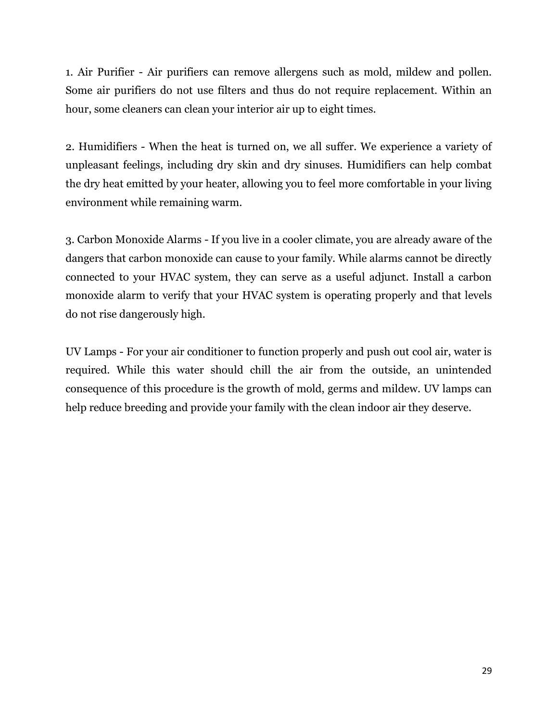1. Air Purifier - Air purifiers can remove allergens such as mold, mildew and pollen. Some air purifiers do not use filters and thus do not require replacement. Within an hour, some cleaners can clean your interior air up to eight times.

2. Humidifiers - When the heat is turned on, we all suffer. We experience a variety of unpleasant feelings, including dry skin and dry sinuses. Humidifiers can help combat the dry heat emitted by your heater, allowing you to feel more comfortable in your living environment while remaining warm.

3. Carbon Monoxide Alarms - If you live in a cooler climate, you are already aware of the dangers that carbon monoxide can cause to your family. While alarms cannot be directly connected to your HVAC system, they can serve as a useful adjunct. Install a carbon monoxide alarm to verify that your HVAC system is operating properly and that levels do not rise dangerously high.

UV Lamps - For your air conditioner to function properly and push out cool air, water is required. While this water should chill the air from the outside, an unintended consequence of this procedure is the growth of mold, germs and mildew. UV lamps can help reduce breeding and provide your family with the clean indoor air they deserve.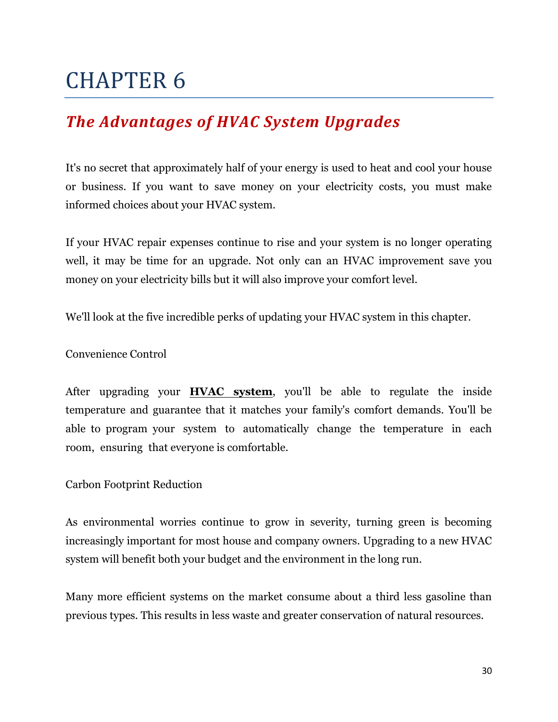### <span id="page-29-1"></span><span id="page-29-0"></span>*The Advantages of HVAC System Upgrades*

It's no secret that approximately half of your energy is used to heat and cool your house or business. If you want to save money on your electricity costs, you must make informed choices about your HVAC system.

If your HVAC repair expenses continue to rise and your system is no longer operating well, it may be time for an upgrade. Not only can an HVAC improvement save you money on your electricity bills but it will also improve your comfort level.

We'll look at the five incredible perks of updating your HVAC system in this chapter.

Convenience Control

After upgrading your **[HVAC system](https://romeoair.com/)**, you'll be able to regulate the inside temperature and guarantee that it matches your family's comfort demands. You'll be able to program your system to automatically change the temperature in each room, ensuring that everyone is comfortable.

Carbon Footprint Reduction

As environmental worries continue to grow in severity, turning green is becoming increasingly important for most house and company owners. Upgrading to a new HVAC system will benefit both your budget and the environment in the long run.

Many more efficient systems on the market consume about a third less gasoline than previous types. This results in less waste and greater conservation of natural resources.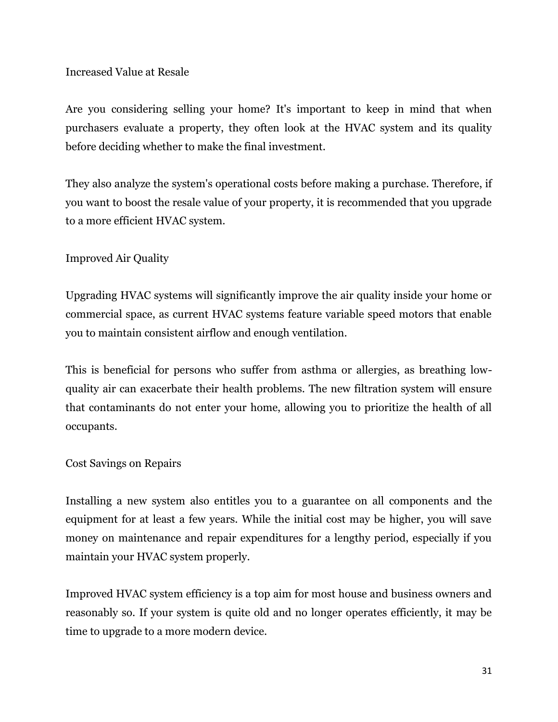#### Increased Value at Resale

Are you considering selling your home? It's important to keep in mind that when purchasers evaluate a property, they often look at the HVAC system and its quality before deciding whether to make the final investment.

They also analyze the system's operational costs before making a purchase. Therefore, if you want to boost the resale value of your property, it is recommended that you upgrade to a more efficient HVAC system.

### Improved Air Quality

Upgrading HVAC systems will significantly improve the air quality inside your home or commercial space, as current HVAC systems feature variable speed motors that enable you to maintain consistent airflow and enough ventilation.

This is beneficial for persons who suffer from asthma or allergies, as breathing lowquality air can exacerbate their health problems. The new filtration system will ensure that contaminants do not enter your home, allowing you to prioritize the health of all occupants.

#### Cost Savings on Repairs

Installing a new system also entitles you to a guarantee on all components and the equipment for at least a few years. While the initial cost may be higher, you will save money on maintenance and repair expenditures for a lengthy period, especially if you maintain your HVAC system properly.

Improved HVAC system efficiency is a top aim for most house and business owners and reasonably so. If your system is quite old and no longer operates efficiently, it may be time to upgrade to a more modern device.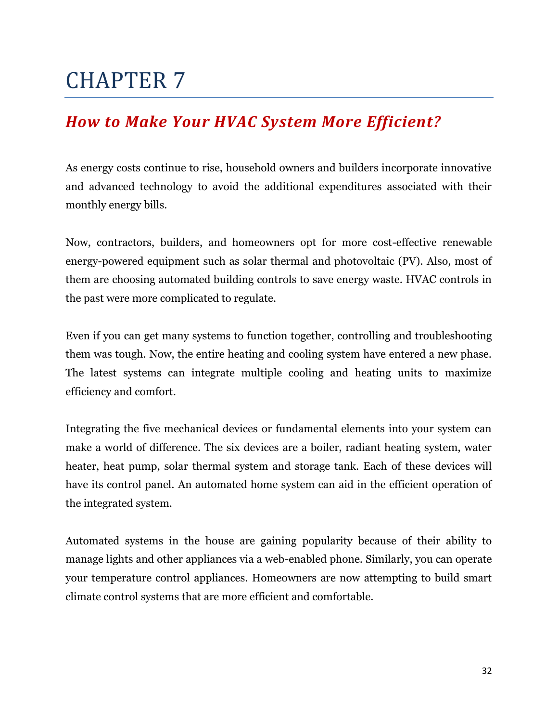### <span id="page-31-1"></span><span id="page-31-0"></span>*How to Make Your HVAC System More Efficient?*

As energy costs continue to rise, household owners and builders incorporate innovative and advanced technology to avoid the additional expenditures associated with their monthly energy bills.

Now, contractors, builders, and homeowners opt for more cost-effective renewable energy-powered equipment such as solar thermal and photovoltaic (PV). Also, most of them are choosing automated building controls to save energy waste. HVAC controls in the past were more complicated to regulate.

Even if you can get many systems to function together, controlling and troubleshooting them was tough. Now, the entire heating and cooling system have entered a new phase. The latest systems can integrate multiple cooling and heating units to maximize efficiency and comfort.

Integrating the five mechanical devices or fundamental elements into your system can make a world of difference. The six devices are a boiler, radiant heating system, water heater, heat pump, solar thermal system and storage tank. Each of these devices will have its control panel. An automated home system can aid in the efficient operation of the integrated system.

Automated systems in the house are gaining popularity because of their ability to manage lights and other appliances via a web-enabled phone. Similarly, you can operate your temperature control appliances. Homeowners are now attempting to build smart climate control systems that are more efficient and comfortable.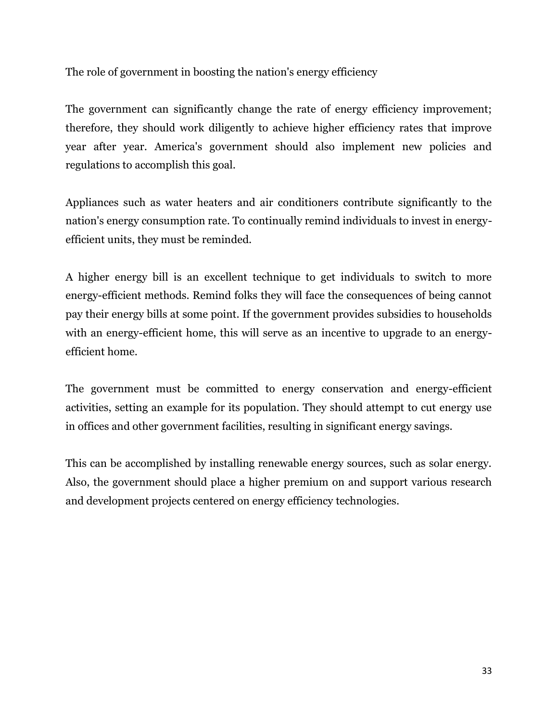The role of government in boosting the nation's energy efficiency

The government can significantly change the rate of energy efficiency improvement; therefore, they should work diligently to achieve higher efficiency rates that improve year after year. America's government should also implement new policies and regulations to accomplish this goal.

Appliances such as water heaters and air conditioners contribute significantly to the nation's energy consumption rate. To continually remind individuals to invest in energyefficient units, they must be reminded.

A higher energy bill is an excellent technique to get individuals to switch to more energy-efficient methods. Remind folks they will face the consequences of being cannot pay their energy bills at some point. If the government provides subsidies to households with an energy-efficient home, this will serve as an incentive to upgrade to an energyefficient home.

The government must be committed to energy conservation and energy-efficient activities, setting an example for its population. They should attempt to cut energy use in offices and other government facilities, resulting in significant energy savings.

This can be accomplished by installing renewable energy sources, such as solar energy. Also, the government should place a higher premium on and support various research and development projects centered on energy efficiency technologies.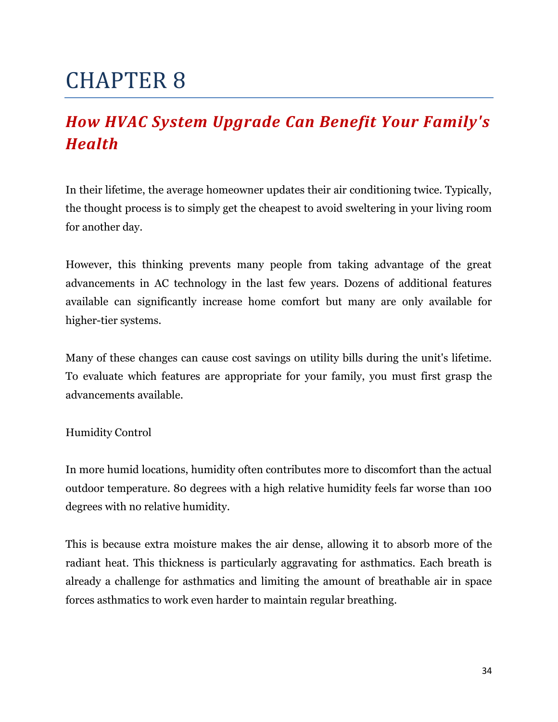## <span id="page-33-1"></span><span id="page-33-0"></span>*How HVAC System Upgrade Can Benefit Your Family's Health*

In their lifetime, the average homeowner updates their air conditioning twice. Typically, the thought process is to simply get the cheapest to avoid sweltering in your living room for another day.

However, this thinking prevents many people from taking advantage of the great advancements in AC technology in the last few years. Dozens of additional features available can significantly increase home comfort but many are only available for higher-tier systems.

Many of these changes can cause cost savings on utility bills during the unit's lifetime. To evaluate which features are appropriate for your family, you must first grasp the advancements available.

Humidity Control

In more humid locations, humidity often contributes more to discomfort than the actual outdoor temperature. 80 degrees with a high relative humidity feels far worse than 100 degrees with no relative humidity.

This is because extra moisture makes the air dense, allowing it to absorb more of the radiant heat. This thickness is particularly aggravating for asthmatics. Each breath is already a challenge for asthmatics and limiting the amount of breathable air in space forces asthmatics to work even harder to maintain regular breathing.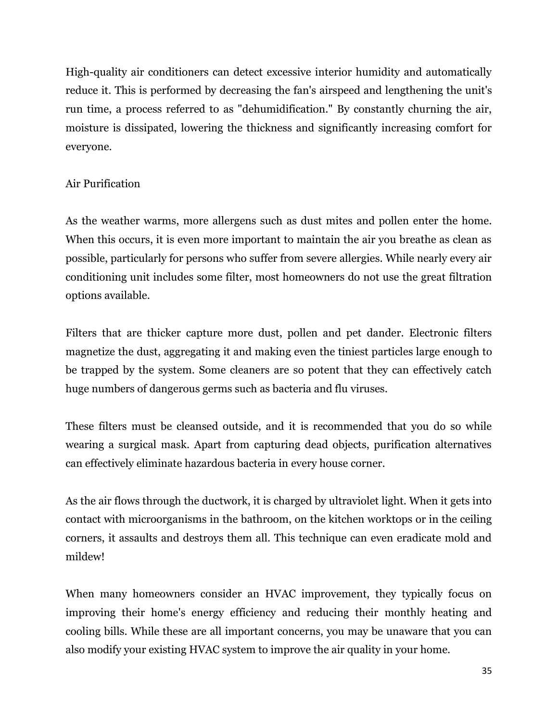High-quality air conditioners can detect excessive interior humidity and automatically reduce it. This is performed by decreasing the fan's airspeed and lengthening the unit's run time, a process referred to as "dehumidification." By constantly churning the air, moisture is dissipated, lowering the thickness and significantly increasing comfort for everyone.

### Air Purification

As the weather warms, more allergens such as dust mites and pollen enter the home. When this occurs, it is even more important to maintain the air you breathe as clean as possible, particularly for persons who suffer from severe allergies. While nearly every air conditioning unit includes some filter, most homeowners do not use the great filtration options available.

Filters that are thicker capture more dust, pollen and pet dander. Electronic filters magnetize the dust, aggregating it and making even the tiniest particles large enough to be trapped by the system. Some cleaners are so potent that they can effectively catch huge numbers of dangerous germs such as bacteria and flu viruses.

These filters must be cleansed outside, and it is recommended that you do so while wearing a surgical mask. Apart from capturing dead objects, purification alternatives can effectively eliminate hazardous bacteria in every house corner.

As the air flows through the ductwork, it is charged by ultraviolet light. When it gets into contact with microorganisms in the bathroom, on the kitchen worktops or in the ceiling corners, it assaults and destroys them all. This technique can even eradicate mold and mildew!

When many homeowners consider an HVAC improvement, they typically focus on improving their home's energy efficiency and reducing their monthly heating and cooling bills. While these are all important concerns, you may be unaware that you can also modify your existing HVAC system to improve the air quality in your home.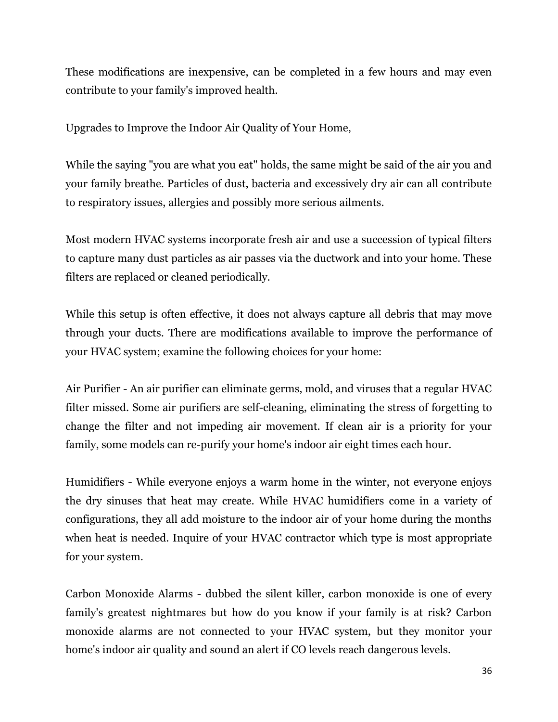These modifications are inexpensive, can be completed in a few hours and may even contribute to your family's improved health.

Upgrades to Improve the Indoor Air Quality of Your Home,

While the saying "you are what you eat" holds, the same might be said of the air you and your family breathe. Particles of dust, bacteria and excessively dry air can all contribute to respiratory issues, allergies and possibly more serious ailments.

Most modern HVAC systems incorporate fresh air and use a succession of typical filters to capture many dust particles as air passes via the ductwork and into your home. These filters are replaced or cleaned periodically.

While this setup is often effective, it does not always capture all debris that may move through your ducts. There are modifications available to improve the performance of your HVAC system; examine the following choices for your home:

Air Purifier - An air purifier can eliminate germs, mold, and viruses that a regular HVAC filter missed. Some air purifiers are self-cleaning, eliminating the stress of forgetting to change the filter and not impeding air movement. If clean air is a priority for your family, some models can re-purify your home's indoor air eight times each hour.

Humidifiers - While everyone enjoys a warm home in the winter, not everyone enjoys the dry sinuses that heat may create. While HVAC humidifiers come in a variety of configurations, they all add moisture to the indoor air of your home during the months when heat is needed. Inquire of your HVAC contractor which type is most appropriate for your system.

Carbon Monoxide Alarms - dubbed the silent killer, carbon monoxide is one of every family's greatest nightmares but how do you know if your family is at risk? Carbon monoxide alarms are not connected to your HVAC system, but they monitor your home's indoor air quality and sound an alert if CO levels reach dangerous levels.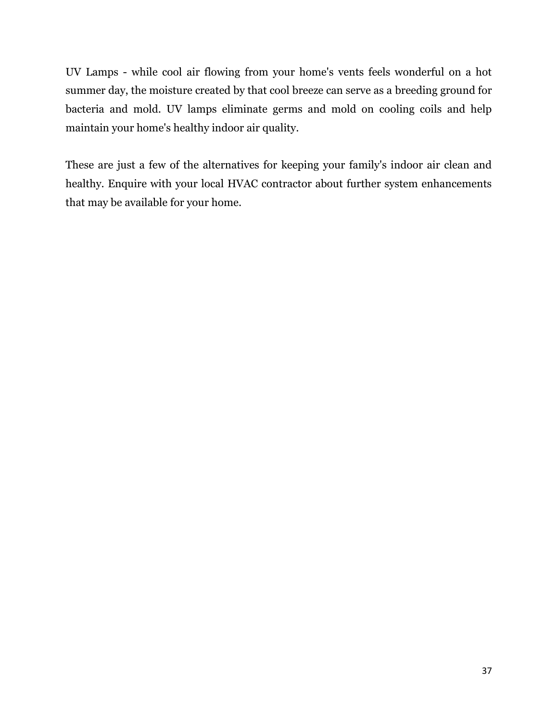UV Lamps - while cool air flowing from your home's vents feels wonderful on a hot summer day, the moisture created by that cool breeze can serve as a breeding ground for bacteria and mold. UV lamps eliminate germs and mold on cooling coils and help maintain your home's healthy indoor air quality.

These are just a few of the alternatives for keeping your family's indoor air clean and healthy. Enquire with your local HVAC contractor about further system enhancements that may be available for your home.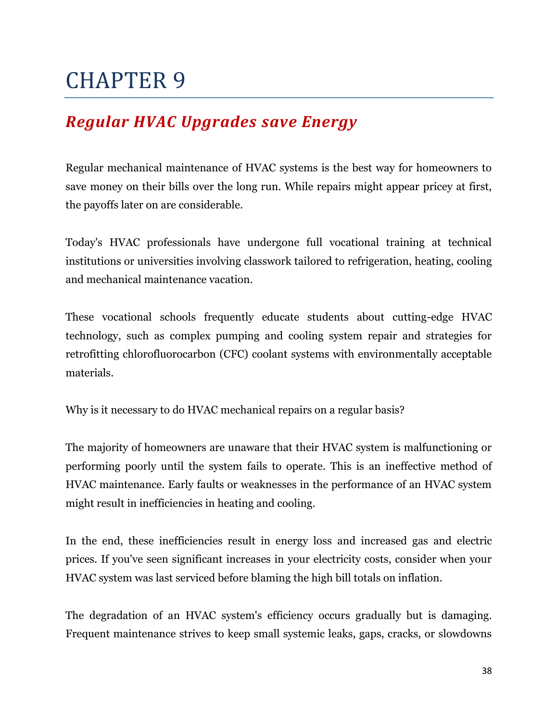### <span id="page-37-1"></span><span id="page-37-0"></span>*Regular HVAC Upgrades save Energy*

Regular mechanical maintenance of HVAC systems is the best way for homeowners to save money on their bills over the long run. While repairs might appear pricey at first, the payoffs later on are considerable.

Today's HVAC professionals have undergone full vocational training at technical institutions or universities involving classwork tailored to refrigeration, heating, cooling and mechanical maintenance vacation.

These vocational schools frequently educate students about cutting-edge HVAC technology, such as complex pumping and cooling system repair and strategies for retrofitting chlorofluorocarbon (CFC) coolant systems with environmentally acceptable materials.

Why is it necessary to do HVAC mechanical repairs on a regular basis?

The majority of homeowners are unaware that their HVAC system is malfunctioning or performing poorly until the system fails to operate. This is an ineffective method of HVAC maintenance. Early faults or weaknesses in the performance of an HVAC system might result in inefficiencies in heating and cooling.

In the end, these inefficiencies result in energy loss and increased gas and electric prices. If you've seen significant increases in your electricity costs, consider when your HVAC system was last serviced before blaming the high bill totals on inflation.

The degradation of an HVAC system's efficiency occurs gradually but is damaging. Frequent maintenance strives to keep small systemic leaks, gaps, cracks, or slowdowns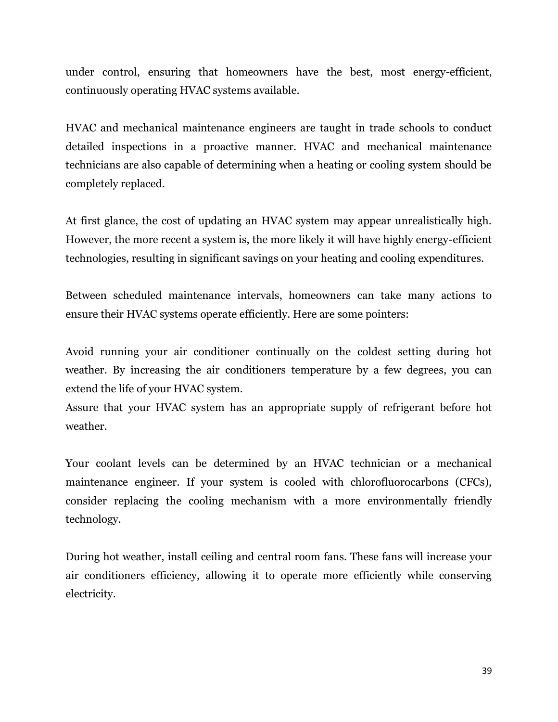under control, ensuring that homeowners have the best, most energy-efficient, continuously operating HVAC systems available.

HVAC and mechanical maintenance engineers are taught in trade schools to conduct detailed inspections in a proactive manner. HVAC and mechanical maintenance technicians are also capable of determining when a heating or cooling system should be completely replaced.

At first glance, the cost of updating an HVAC system may appear unrealistically high. However, the more recent a system is, the more likely it will have highly energy-efficient technologies, resulting in significant savings on your heating and cooling expenditures.

Between scheduled maintenance intervals, homeowners can take many actions to ensure their HVAC systems operate efficiently. Here are some pointers:

Avoid running your air conditioner continually on the coldest setting during hot weather. By increasing the air conditioners temperature by a few degrees, you can extend the life of your HVAC system.

Assure that your HVAC system has an appropriate supply of refrigerant before hot weather.

Your coolant levels can be determined by an HVAC technician or a mechanical maintenance engineer. If your system is cooled with chlorofluorocarbons (CFCs), consider replacing the cooling mechanism with a more environmentally friendly technology.

During hot weather, install ceiling and central room fans. These fans will increase your air conditioners efficiency, allowing it to operate more efficiently while conserving electricity.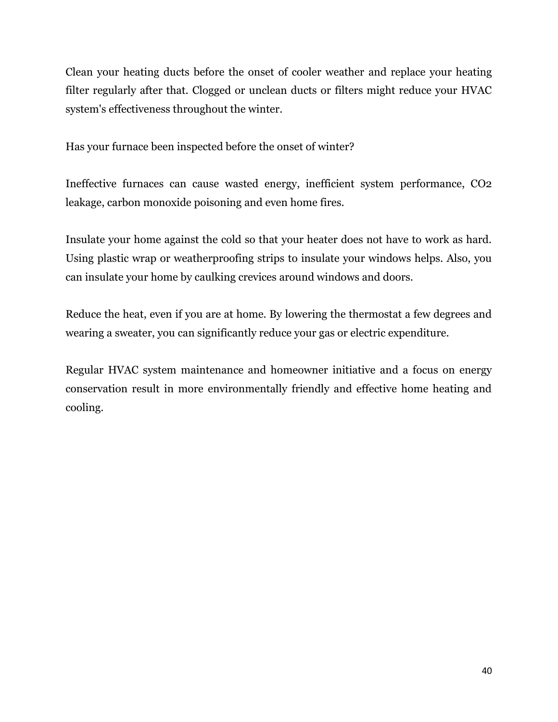Clean your heating ducts before the onset of cooler weather and replace your heating filter regularly after that. Clogged or unclean ducts or filters might reduce your HVAC system's effectiveness throughout the winter.

Has your furnace been inspected before the onset of winter?

Ineffective furnaces can cause wasted energy, inefficient system performance, CO2 leakage, carbon monoxide poisoning and even home fires.

Insulate your home against the cold so that your heater does not have to work as hard. Using plastic wrap or weatherproofing strips to insulate your windows helps. Also, you can insulate your home by caulking crevices around windows and doors.

Reduce the heat, even if you are at home. By lowering the thermostat a few degrees and wearing a sweater, you can significantly reduce your gas or electric expenditure.

Regular HVAC system maintenance and homeowner initiative and a focus on energy conservation result in more environmentally friendly and effective home heating and cooling.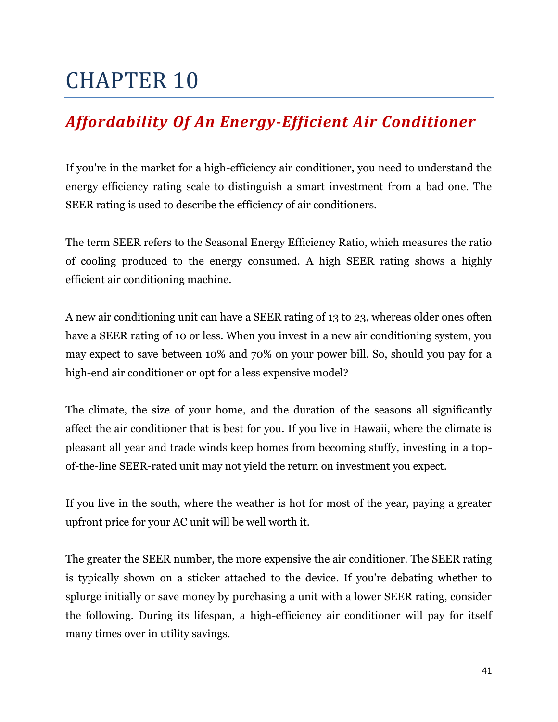### <span id="page-40-1"></span><span id="page-40-0"></span>*Affordability Of An Energy-Efficient Air Conditioner*

If you're in the market for a high-efficiency air conditioner, you need to understand the energy efficiency rating scale to distinguish a smart investment from a bad one. The SEER rating is used to describe the efficiency of air conditioners.

The term SEER refers to the Seasonal Energy Efficiency Ratio, which measures the ratio of cooling produced to the energy consumed. A high SEER rating shows a highly efficient air conditioning machine.

A new air conditioning unit can have a SEER rating of 13 to 23, whereas older ones often have a SEER rating of 10 or less. When you invest in a new air conditioning system, you may expect to save between 10% and 70% on your power bill. So, should you pay for a high-end air conditioner or opt for a less expensive model?

The climate, the size of your home, and the duration of the seasons all significantly affect the air conditioner that is best for you. If you live in Hawaii, where the climate is pleasant all year and trade winds keep homes from becoming stuffy, investing in a topof-the-line SEER-rated unit may not yield the return on investment you expect.

If you live in the south, where the weather is hot for most of the year, paying a greater upfront price for your AC unit will be well worth it.

The greater the SEER number, the more expensive the air conditioner. The SEER rating is typically shown on a sticker attached to the device. If you're debating whether to splurge initially or save money by purchasing a unit with a lower SEER rating, consider the following. During its lifespan, a high-efficiency air conditioner will pay for itself many times over in utility savings.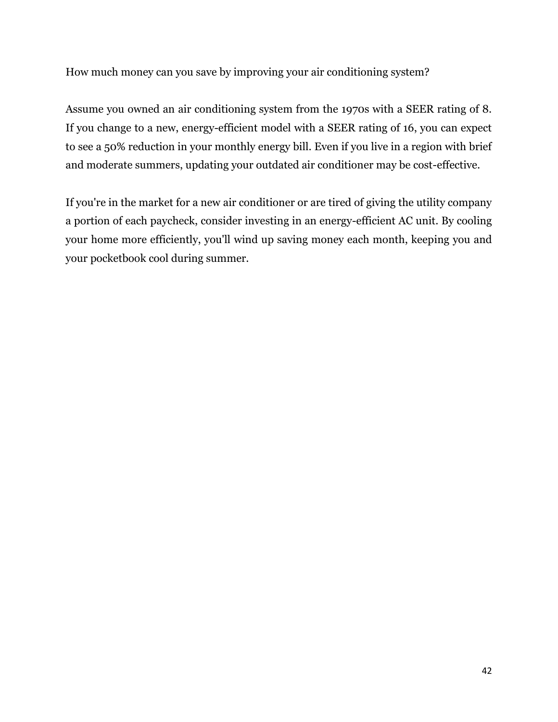How much money can you save by improving your air conditioning system?

Assume you owned an air conditioning system from the 1970s with a SEER rating of 8. If you change to a new, energy-efficient model with a SEER rating of 16, you can expect to see a 50% reduction in your monthly energy bill. Even if you live in a region with brief and moderate summers, updating your outdated air conditioner may be cost-effective.

If you're in the market for a new air conditioner or are tired of giving the utility company a portion of each paycheck, consider investing in an energy-efficient AC unit. By cooling your home more efficiently, you'll wind up saving money each month, keeping you and your pocketbook cool during summer.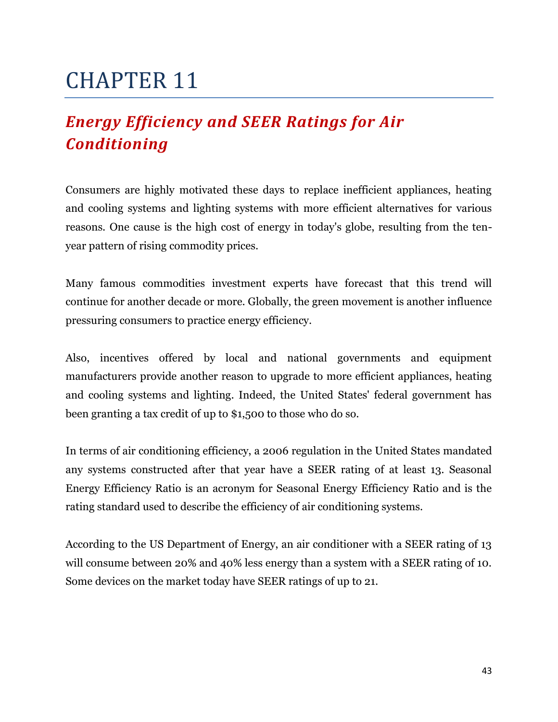## <span id="page-42-1"></span><span id="page-42-0"></span>*Energy Efficiency and SEER Ratings for Air Conditioning*

Consumers are highly motivated these days to replace inefficient appliances, heating and cooling systems and lighting systems with more efficient alternatives for various reasons. One cause is the high cost of energy in today's globe, resulting from the tenyear pattern of rising commodity prices.

Many famous commodities investment experts have forecast that this trend will continue for another decade or more. Globally, the green movement is another influence pressuring consumers to practice energy efficiency.

Also, incentives offered by local and national governments and equipment manufacturers provide another reason to upgrade to more efficient appliances, heating and cooling systems and lighting. Indeed, the United States' federal government has been granting a tax credit of up to \$1,500 to those who do so.

In terms of air conditioning efficiency, a 2006 regulation in the United States mandated any systems constructed after that year have a SEER rating of at least 13. Seasonal Energy Efficiency Ratio is an acronym for Seasonal Energy Efficiency Ratio and is the rating standard used to describe the efficiency of air conditioning systems.

According to the US Department of Energy, an air conditioner with a SEER rating of 13 will consume between 20% and 40% less energy than a system with a SEER rating of 10. Some devices on the market today have SEER ratings of up to 21.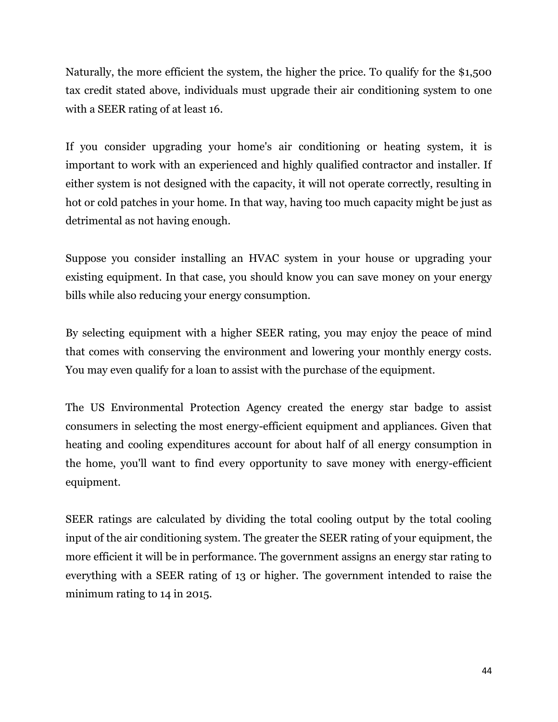Naturally, the more efficient the system, the higher the price. To qualify for the \$1,500 tax credit stated above, individuals must upgrade their air conditioning system to one with a SEER rating of at least 16.

If you consider upgrading your home's air conditioning or heating system, it is important to work with an experienced and highly qualified contractor and installer. If either system is not designed with the capacity, it will not operate correctly, resulting in hot or cold patches in your home. In that way, having too much capacity might be just as detrimental as not having enough.

Suppose you consider installing an HVAC system in your house or upgrading your existing equipment. In that case, you should know you can save money on your energy bills while also reducing your energy consumption.

By selecting equipment with a higher SEER rating, you may enjoy the peace of mind that comes with conserving the environment and lowering your monthly energy costs. You may even qualify for a loan to assist with the purchase of the equipment.

The US Environmental Protection Agency created the energy star badge to assist consumers in selecting the most energy-efficient equipment and appliances. Given that heating and cooling expenditures account for about half of all energy consumption in the home, you'll want to find every opportunity to save money with energy-efficient equipment.

SEER ratings are calculated by dividing the total cooling output by the total cooling input of the air conditioning system. The greater the SEER rating of your equipment, the more efficient it will be in performance. The government assigns an energy star rating to everything with a SEER rating of 13 or higher. The government intended to raise the minimum rating to 14 in 2015.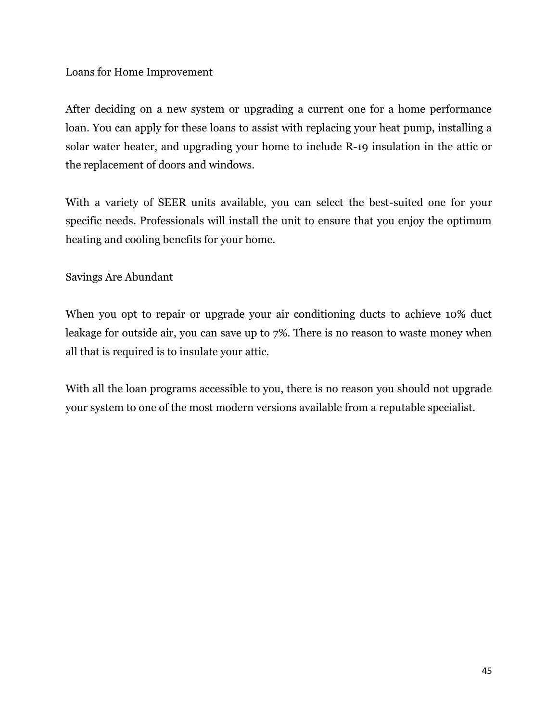#### Loans for Home Improvement

After deciding on a new system or upgrading a current one for a home performance loan. You can apply for these loans to assist with replacing your heat pump, installing a solar water heater, and upgrading your home to include R-19 insulation in the attic or the replacement of doors and windows.

With a variety of SEER units available, you can select the best-suited one for your specific needs. Professionals will install the unit to ensure that you enjoy the optimum heating and cooling benefits for your home.

#### Savings Are Abundant

When you opt to repair or upgrade your air conditioning ducts to achieve 10% duct leakage for outside air, you can save up to 7%. There is no reason to waste money when all that is required is to insulate your attic.

With all the loan programs accessible to you, there is no reason you should not upgrade your system to one of the most modern versions available from a reputable specialist.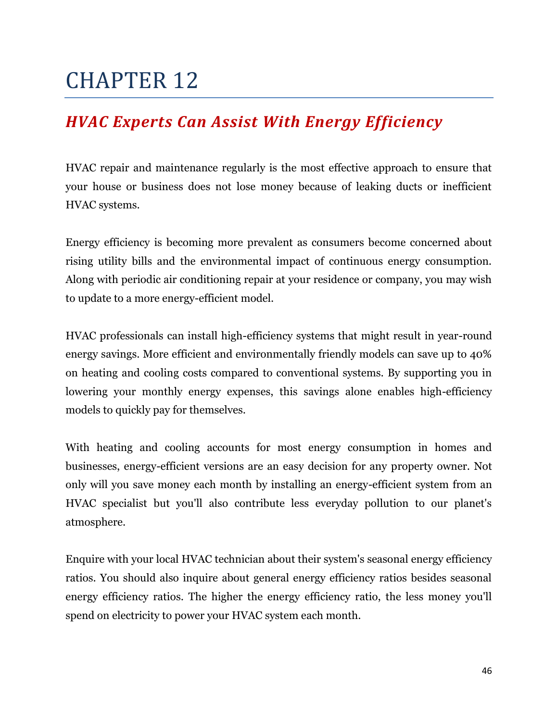### <span id="page-45-1"></span><span id="page-45-0"></span>*HVAC Experts Can Assist With Energy Efficiency*

HVAC repair and maintenance regularly is the most effective approach to ensure that your house or business does not lose money because of leaking ducts or inefficient HVAC systems.

Energy efficiency is becoming more prevalent as consumers become concerned about rising utility bills and the environmental impact of continuous energy consumption. Along with periodic air conditioning repair at your residence or company, you may wish to update to a more energy-efficient model.

HVAC professionals can install high-efficiency systems that might result in year-round energy savings. More efficient and environmentally friendly models can save up to 40% on heating and cooling costs compared to conventional systems. By supporting you in lowering your monthly energy expenses, this savings alone enables high-efficiency models to quickly pay for themselves.

With heating and cooling accounts for most energy consumption in homes and businesses, energy-efficient versions are an easy decision for any property owner. Not only will you save money each month by installing an energy-efficient system from an HVAC specialist but you'll also contribute less everyday pollution to our planet's atmosphere.

Enquire with your local HVAC technician about their system's seasonal energy efficiency ratios. You should also inquire about general energy efficiency ratios besides seasonal energy efficiency ratios. The higher the energy efficiency ratio, the less money you'll spend on electricity to power your HVAC system each month.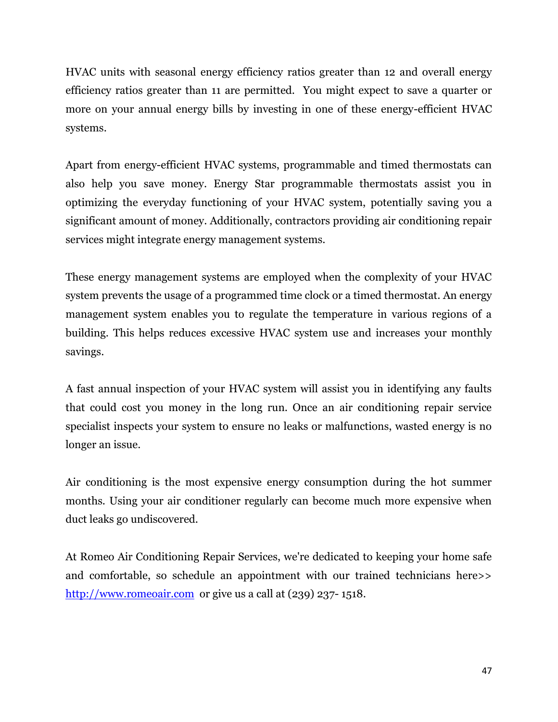HVAC units with seasonal energy efficiency ratios greater than 12 and overall energy efficiency ratios greater than 11 are permitted. You might expect to save a quarter or more on your annual energy bills by investing in one of these energy-efficient HVAC systems.

Apart from energy-efficient HVAC systems, programmable and timed thermostats can also help you save money. Energy Star programmable thermostats assist you in optimizing the everyday functioning of your HVAC system, potentially saving you a significant amount of money. Additionally, contractors providing air conditioning repair services might integrate energy management systems.

These energy management systems are employed when the complexity of your HVAC system prevents the usage of a programmed time clock or a timed thermostat. An energy management system enables you to regulate the temperature in various regions of a building. This helps reduces excessive HVAC system use and increases your monthly savings.

A fast annual inspection of your HVAC system will assist you in identifying any faults that could cost you money in the long run. Once an air conditioning repair service specialist inspects your system to ensure no leaks or malfunctions, wasted energy is no longer an issue.

Air conditioning is the most expensive energy consumption during the hot summer months. Using your air conditioner regularly can become much more expensive when duct leaks go undiscovered.

At Romeo Air Conditioning Repair Services, we're dedicated to keeping your home safe and comfortable, so schedule an appointment with our trained technicians here>> [http://www.romeoair.com](http://www.romeoair.com/) or give us a call at (239) 237-1518.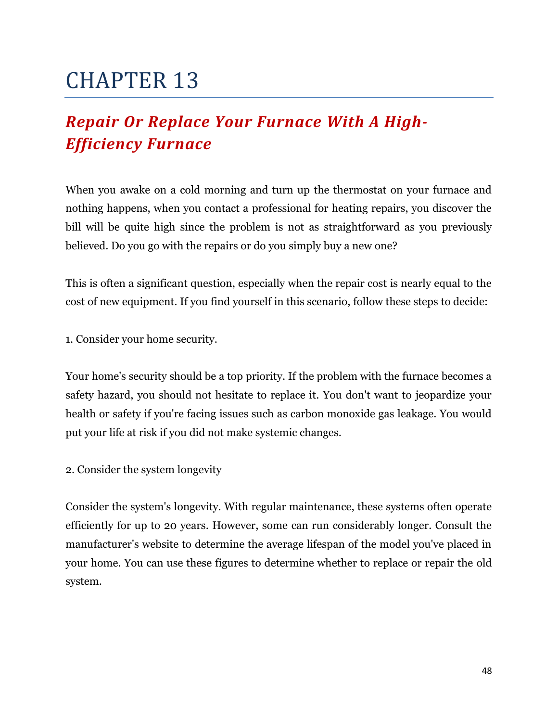## <span id="page-47-1"></span><span id="page-47-0"></span>*Repair Or Replace Your Furnace With A High-Efficiency Furnace*

When you awake on a cold morning and turn up the thermostat on your furnace and nothing happens, when you contact a professional for heating repairs, you discover the bill will be quite high since the problem is not as straightforward as you previously believed. Do you go with the repairs or do you simply buy a new one?

This is often a significant question, especially when the repair cost is nearly equal to the cost of new equipment. If you find yourself in this scenario, follow these steps to decide:

1. Consider your home security.

Your home's security should be a top priority. If the problem with the furnace becomes a safety hazard, you should not hesitate to replace it. You don't want to jeopardize your health or safety if you're facing issues such as carbon monoxide gas leakage. You would put your life at risk if you did not make systemic changes.

2. Consider the system longevity

Consider the system's longevity. With regular maintenance, these systems often operate efficiently for up to 20 years. However, some can run considerably longer. Consult the manufacturer's website to determine the average lifespan of the model you've placed in your home. You can use these figures to determine whether to replace or repair the old system.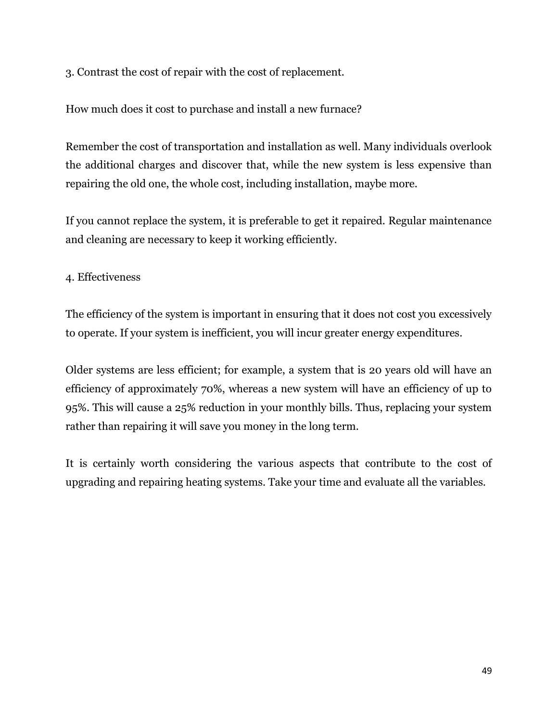3. Contrast the cost of repair with the cost of replacement.

How much does it cost to purchase and install a new furnace?

Remember the cost of transportation and installation as well. Many individuals overlook the additional charges and discover that, while the new system is less expensive than repairing the old one, the whole cost, including installation, maybe more.

If you cannot replace the system, it is preferable to get it repaired. Regular maintenance and cleaning are necessary to keep it working efficiently.

4. Effectiveness

The efficiency of the system is important in ensuring that it does not cost you excessively to operate. If your system is inefficient, you will incur greater energy expenditures.

Older systems are less efficient; for example, a system that is 20 years old will have an efficiency of approximately 70%, whereas a new system will have an efficiency of up to 95%. This will cause a 25% reduction in your monthly bills. Thus, replacing your system rather than repairing it will save you money in the long term.

It is certainly worth considering the various aspects that contribute to the cost of upgrading and repairing heating systems. Take your time and evaluate all the variables.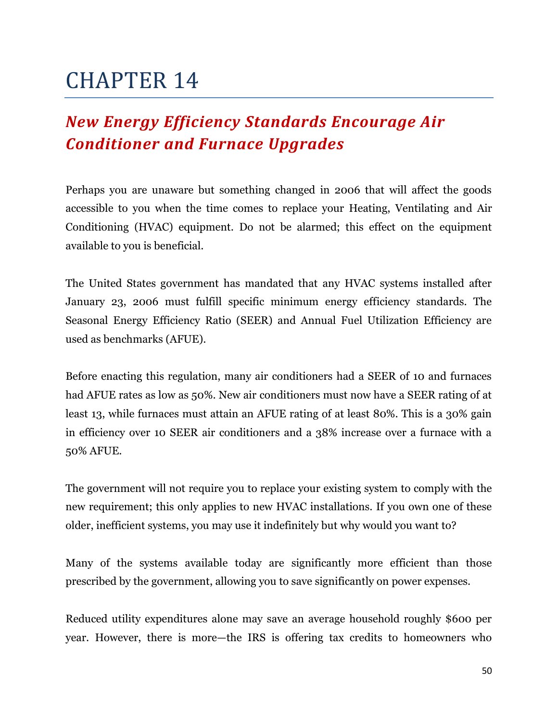### <span id="page-49-1"></span><span id="page-49-0"></span>*New Energy Efficiency Standards Encourage Air Conditioner and Furnace Upgrades*

Perhaps you are unaware but something changed in 2006 that will affect the goods accessible to you when the time comes to replace your Heating, Ventilating and Air Conditioning (HVAC) equipment. Do not be alarmed; this effect on the equipment available to you is beneficial.

The United States government has mandated that any HVAC systems installed after January 23, 2006 must fulfill specific minimum energy efficiency standards. The Seasonal Energy Efficiency Ratio (SEER) and Annual Fuel Utilization Efficiency are used as benchmarks (AFUE).

Before enacting this regulation, many air conditioners had a SEER of 10 and furnaces had AFUE rates as low as 50%. New air conditioners must now have a SEER rating of at least 13, while furnaces must attain an AFUE rating of at least 80%. This is a 30% gain in efficiency over 10 SEER air conditioners and a 38% increase over a furnace with a 50% AFUE.

The government will not require you to replace your existing system to comply with the new requirement; this only applies to new HVAC installations. If you own one of these older, inefficient systems, you may use it indefinitely but why would you want to?

Many of the systems available today are significantly more efficient than those prescribed by the government, allowing you to save significantly on power expenses.

Reduced utility expenditures alone may save an average household roughly \$600 per year. However, there is more—the IRS is offering tax credits to homeowners who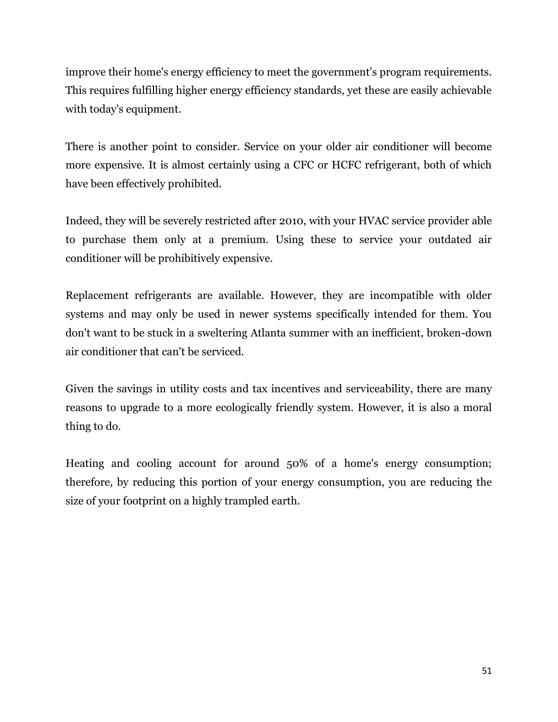improve their home's energy efficiency to meet the government's program requirements. This requires fulfilling higher energy efficiency standards, yet these are easily achievable with today's equipment.

There is another point to consider. Service on your older air conditioner will become more expensive. It is almost certainly using a CFC or HCFC refrigerant, both of which have been effectively prohibited.

Indeed, they will be severely restricted after 2010, with your HVAC service provider able to purchase them only at a premium. Using these to service your outdated air conditioner will be prohibitively expensive.

Replacement refrigerants are available. However, they are incompatible with older systems and may only be used in newer systems specifically intended for them. You don't want to be stuck in a sweltering Atlanta summer with an inefficient, broken-down air conditioner that can't be serviced.

Given the savings in utility costs and tax incentives and serviceability, there are many reasons to upgrade to a more ecologically friendly system. However, it is also a moral thing to do.

Heating and cooling account for around 50% of a home's energy consumption; therefore, by reducing this portion of your energy consumption, you are reducing the size of your footprint on a highly trampled earth.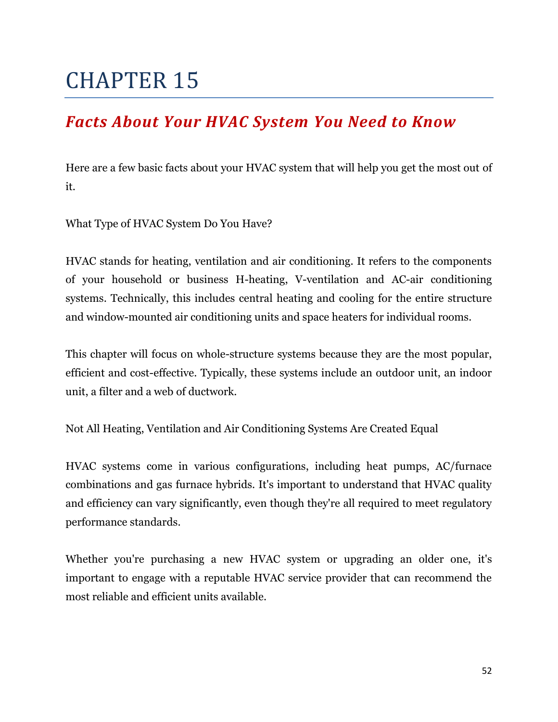### <span id="page-51-1"></span><span id="page-51-0"></span>*Facts About Your HVAC System You Need to Know*

Here are a few basic facts about your HVAC system that will help you get the most out of it.

What Type of HVAC System Do You Have?

HVAC stands for heating, ventilation and air conditioning. It refers to the components of your household or business H-heating, V-ventilation and AC-air conditioning systems. Technically, this includes central heating and cooling for the entire structure and window-mounted air conditioning units and space heaters for individual rooms.

This chapter will focus on whole-structure systems because they are the most popular, efficient and cost-effective. Typically, these systems include an outdoor unit, an indoor unit, a filter and a web of ductwork.

Not All Heating, Ventilation and Air Conditioning Systems Are Created Equal

HVAC systems come in various configurations, including heat pumps, AC/furnace combinations and gas furnace hybrids. It's important to understand that HVAC quality and efficiency can vary significantly, even though they're all required to meet regulatory performance standards.

Whether you're purchasing a new HVAC system or upgrading an older one, it's important to engage with a reputable HVAC service provider that can recommend the most reliable and efficient units available.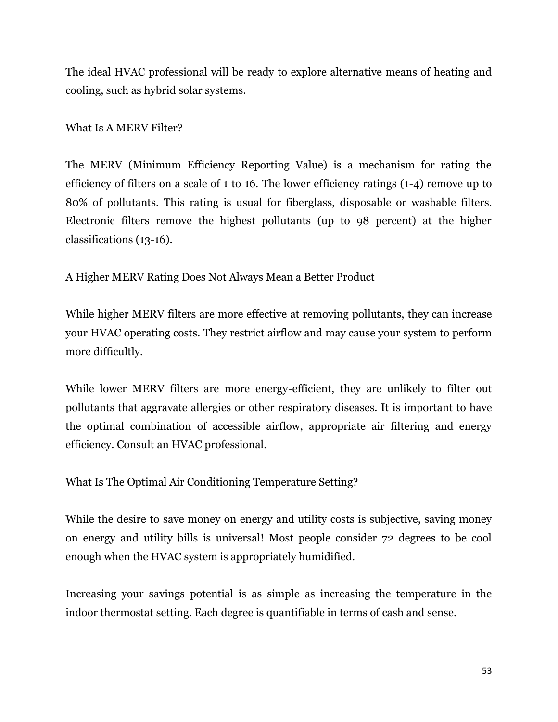The ideal HVAC professional will be ready to explore alternative means of heating and cooling, such as hybrid solar systems.

#### What Is A MERV Filter?

The MERV (Minimum Efficiency Reporting Value) is a mechanism for rating the efficiency of filters on a scale of 1 to 16. The lower efficiency ratings (1-4) remove up to 80% of pollutants. This rating is usual for fiberglass, disposable or washable filters. Electronic filters remove the highest pollutants (up to 98 percent) at the higher classifications (13-16).

A Higher MERV Rating Does Not Always Mean a Better Product

While higher MERV filters are more effective at removing pollutants, they can increase your HVAC operating costs. They restrict airflow and may cause your system to perform more difficultly.

While lower MERV filters are more energy-efficient, they are unlikely to filter out pollutants that aggravate allergies or other respiratory diseases. It is important to have the optimal combination of accessible airflow, appropriate air filtering and energy efficiency. Consult an HVAC professional.

What Is The Optimal Air Conditioning Temperature Setting?

While the desire to save money on energy and utility costs is subjective, saving money on energy and utility bills is universal! Most people consider 72 degrees to be cool enough when the HVAC system is appropriately humidified.

Increasing your savings potential is as simple as increasing the temperature in the indoor thermostat setting. Each degree is quantifiable in terms of cash and sense.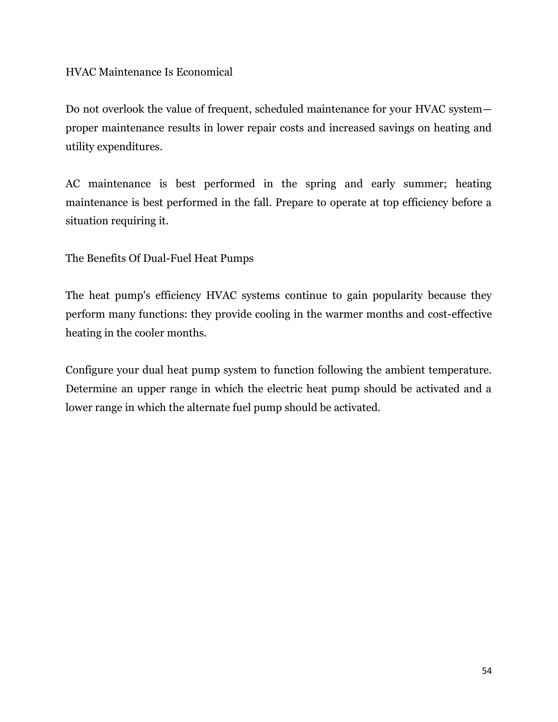HVAC Maintenance Is Economical

Do not overlook the value of frequent, scheduled maintenance for your HVAC system proper maintenance results in lower repair costs and increased savings on heating and utility expenditures.

AC maintenance is best performed in the spring and early summer; heating maintenance is best performed in the fall. Prepare to operate at top efficiency before a situation requiring it.

The Benefits Of Dual-Fuel Heat Pumps

The heat pump's efficiency HVAC systems continue to gain popularity because they perform many functions: they provide cooling in the warmer months and cost-effective heating in the cooler months.

Configure your dual heat pump system to function following the ambient temperature. Determine an upper range in which the electric heat pump should be activated and a lower range in which the alternate fuel pump should be activated.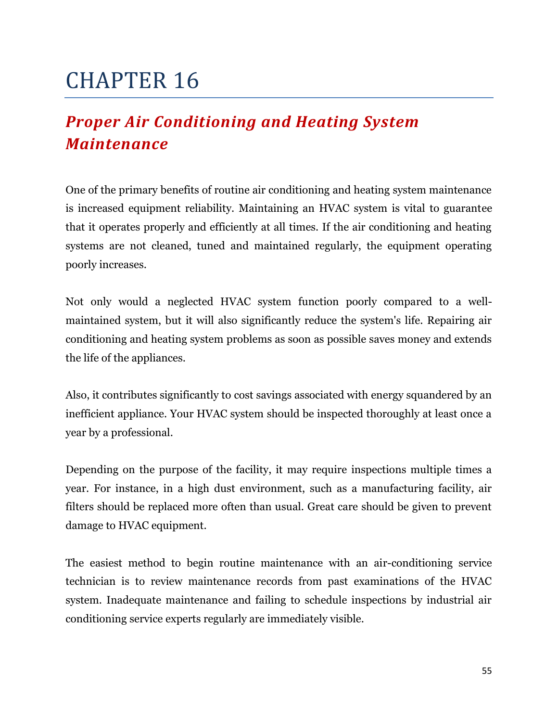## <span id="page-54-1"></span><span id="page-54-0"></span>*Proper Air Conditioning and Heating System Maintenance*

One of the primary benefits of routine air conditioning and heating system maintenance is increased equipment reliability. Maintaining an HVAC system is vital to guarantee that it operates properly and efficiently at all times. If the air conditioning and heating systems are not cleaned, tuned and maintained regularly, the equipment operating poorly increases.

Not only would a neglected HVAC system function poorly compared to a wellmaintained system, but it will also significantly reduce the system's life. Repairing air conditioning and heating system problems as soon as possible saves money and extends the life of the appliances.

Also, it contributes significantly to cost savings associated with energy squandered by an inefficient appliance. Your HVAC system should be inspected thoroughly at least once a year by a professional.

Depending on the purpose of the facility, it may require inspections multiple times a year. For instance, in a high dust environment, such as a manufacturing facility, air filters should be replaced more often than usual. Great care should be given to prevent damage to HVAC equipment.

The easiest method to begin routine maintenance with an air-conditioning service technician is to review maintenance records from past examinations of the HVAC system. Inadequate maintenance and failing to schedule inspections by industrial air conditioning service experts regularly are immediately visible.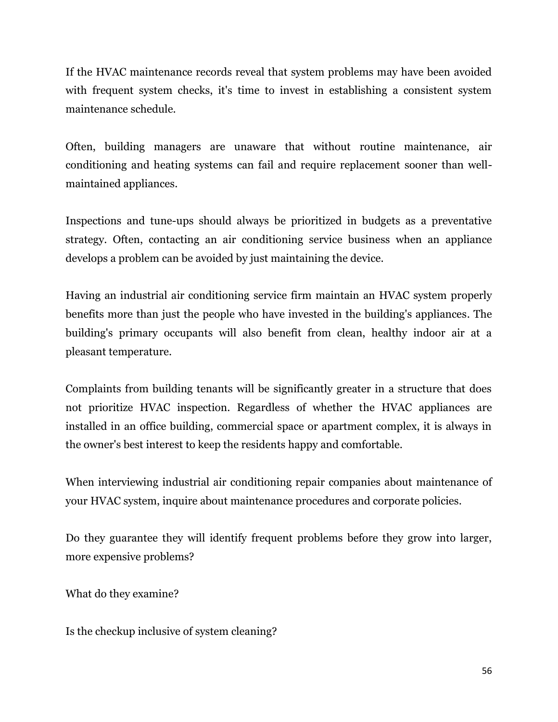If the HVAC maintenance records reveal that system problems may have been avoided with frequent system checks, it's time to invest in establishing a consistent system maintenance schedule.

Often, building managers are unaware that without routine maintenance, air conditioning and heating systems can fail and require replacement sooner than wellmaintained appliances.

Inspections and tune-ups should always be prioritized in budgets as a preventative strategy. Often, contacting an air conditioning service business when an appliance develops a problem can be avoided by just maintaining the device.

Having an industrial air conditioning service firm maintain an HVAC system properly benefits more than just the people who have invested in the building's appliances. The building's primary occupants will also benefit from clean, healthy indoor air at a pleasant temperature.

Complaints from building tenants will be significantly greater in a structure that does not prioritize HVAC inspection. Regardless of whether the HVAC appliances are installed in an office building, commercial space or apartment complex, it is always in the owner's best interest to keep the residents happy and comfortable.

When interviewing industrial air conditioning repair companies about maintenance of your HVAC system, inquire about maintenance procedures and corporate policies.

Do they guarantee they will identify frequent problems before they grow into larger, more expensive problems?

What do they examine?

Is the checkup inclusive of system cleaning?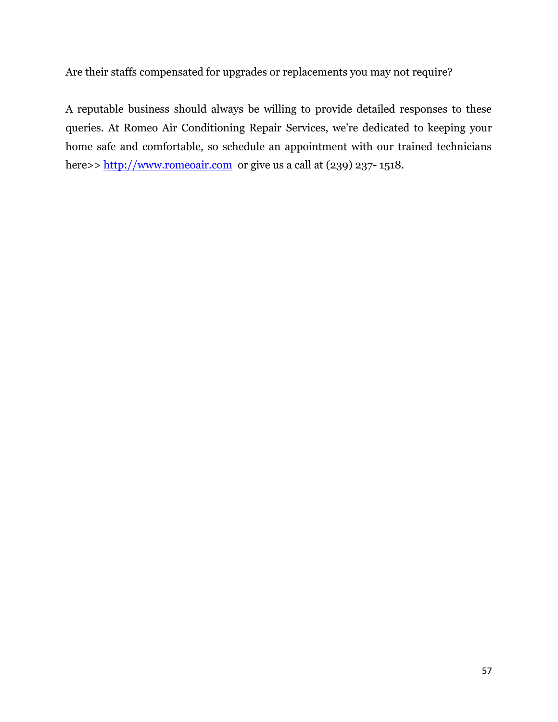Are their staffs compensated for upgrades or replacements you may not require?

A reputable business should always be willing to provide detailed responses to these queries. At Romeo Air Conditioning Repair Services, we're dedicated to keeping your home safe and comfortable, so schedule an appointment with our trained technicians here>> [http://www.romeoair.com](http://www.romeoair.com/) or give us a call at (239) 237-1518.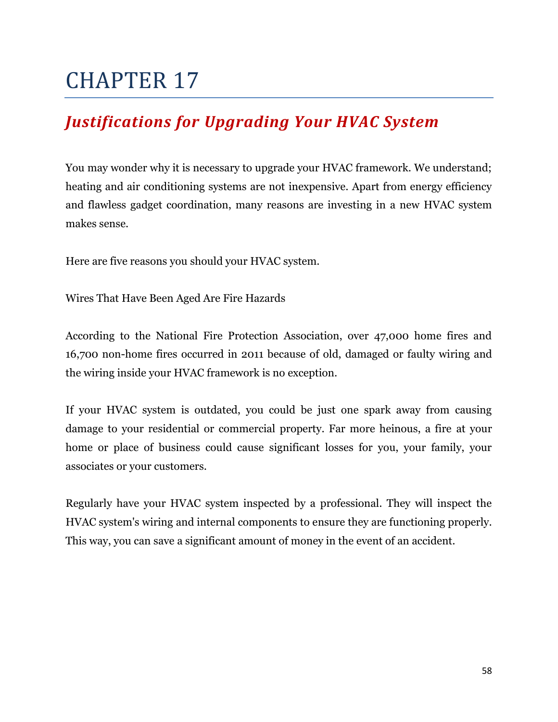### <span id="page-57-1"></span><span id="page-57-0"></span>*Justifications for Upgrading Your HVAC System*

You may wonder why it is necessary to upgrade your HVAC framework. We understand; heating and air conditioning systems are not inexpensive. Apart from energy efficiency and flawless gadget coordination, many reasons are investing in a new HVAC system makes sense.

Here are five reasons you should your HVAC system.

Wires That Have Been Aged Are Fire Hazards

According to the National Fire Protection Association, over 47,000 home fires and 16,700 non-home fires occurred in 2011 because of old, damaged or faulty wiring and the wiring inside your HVAC framework is no exception.

If your HVAC system is outdated, you could be just one spark away from causing damage to your residential or commercial property. Far more heinous, a fire at your home or place of business could cause significant losses for you, your family, your associates or your customers.

Regularly have your HVAC system inspected by a professional. They will inspect the HVAC system's wiring and internal components to ensure they are functioning properly. This way, you can save a significant amount of money in the event of an accident.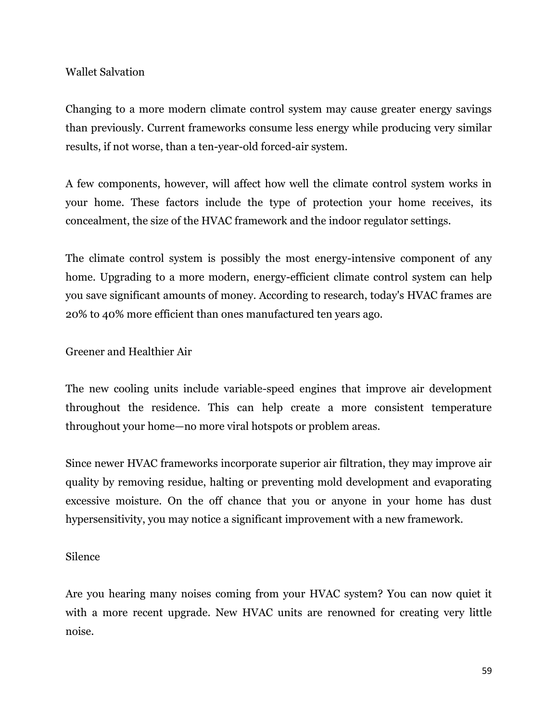#### Wallet Salvation

Changing to a more modern climate control system may cause greater energy savings than previously. Current frameworks consume less energy while producing very similar results, if not worse, than a ten-year-old forced-air system.

A few components, however, will affect how well the climate control system works in your home. These factors include the type of protection your home receives, its concealment, the size of the HVAC framework and the indoor regulator settings.

The climate control system is possibly the most energy-intensive component of any home. Upgrading to a more modern, energy-efficient climate control system can help you save significant amounts of money. According to research, today's HVAC frames are 20% to 40% more efficient than ones manufactured ten years ago.

Greener and Healthier Air

The new cooling units include variable-speed engines that improve air development throughout the residence. This can help create a more consistent temperature throughout your home—no more viral hotspots or problem areas.

Since newer HVAC frameworks incorporate superior air filtration, they may improve air quality by removing residue, halting or preventing mold development and evaporating excessive moisture. On the off chance that you or anyone in your home has dust hypersensitivity, you may notice a significant improvement with a new framework.

#### Silence

Are you hearing many noises coming from your HVAC system? You can now quiet it with a more recent upgrade. New HVAC units are renowned for creating very little noise.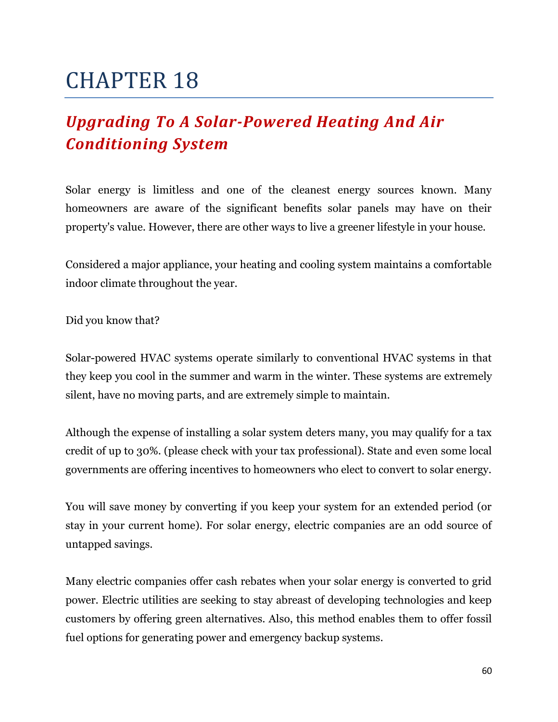## <span id="page-59-1"></span><span id="page-59-0"></span>*Upgrading To A Solar-Powered Heating And Air Conditioning System*

Solar energy is limitless and one of the cleanest energy sources known. Many homeowners are aware of the significant benefits solar panels may have on their property's value. However, there are other ways to live a greener lifestyle in your house.

Considered a major appliance, your heating and cooling system maintains a comfortable indoor climate throughout the year.

Did you know that?

Solar-powered HVAC systems operate similarly to conventional HVAC systems in that they keep you cool in the summer and warm in the winter. These systems are extremely silent, have no moving parts, and are extremely simple to maintain.

Although the expense of installing a solar system deters many, you may qualify for a tax credit of up to 30%. (please check with your tax professional). State and even some local governments are offering incentives to homeowners who elect to convert to solar energy.

You will save money by converting if you keep your system for an extended period (or stay in your current home). For solar energy, electric companies are an odd source of untapped savings.

Many electric companies offer cash rebates when your solar energy is converted to grid power. Electric utilities are seeking to stay abreast of developing technologies and keep customers by offering green alternatives. Also, this method enables them to offer fossil fuel options for generating power and emergency backup systems.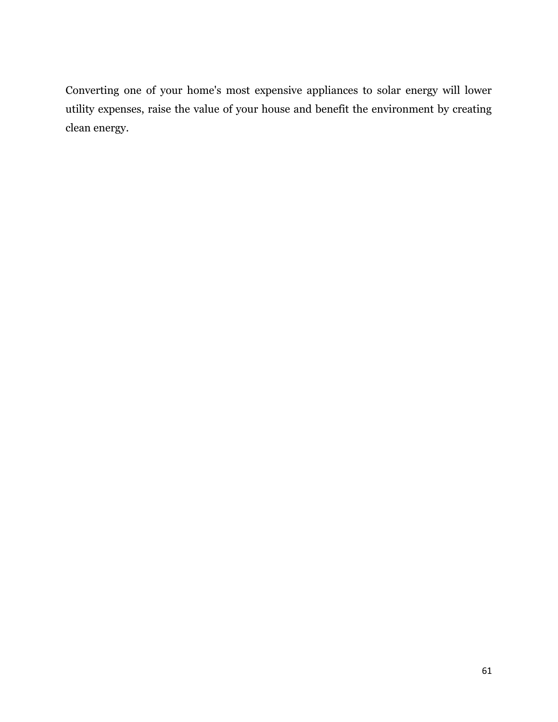Converting one of your home's most expensive appliances to solar energy will lower utility expenses, raise the value of your house and benefit the environment by creating clean energy.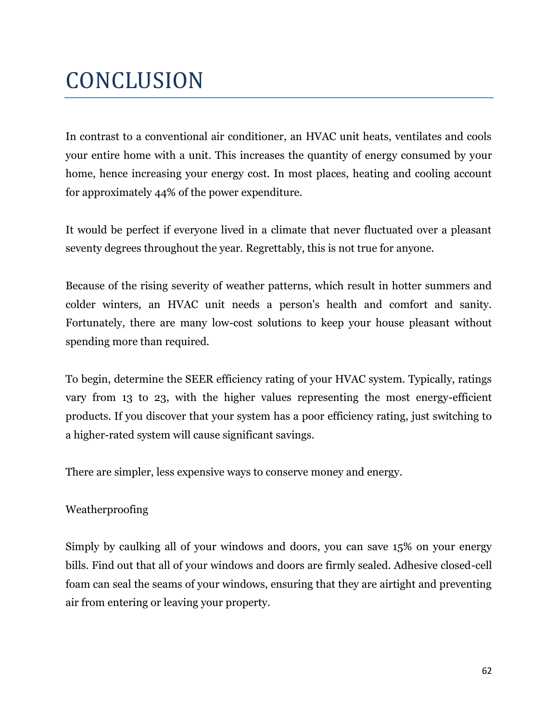# <span id="page-61-0"></span>**CONCLUSION**

In contrast to a conventional air conditioner, an HVAC unit heats, ventilates and cools your entire home with a unit. This increases the quantity of energy consumed by your home, hence increasing your energy cost. In most places, heating and cooling account for approximately 44% of the power expenditure.

It would be perfect if everyone lived in a climate that never fluctuated over a pleasant seventy degrees throughout the year. Regrettably, this is not true for anyone.

Because of the rising severity of weather patterns, which result in hotter summers and colder winters, an HVAC unit needs a person's health and comfort and sanity. Fortunately, there are many low-cost solutions to keep your house pleasant without spending more than required.

To begin, determine the SEER efficiency rating of your HVAC system. Typically, ratings vary from 13 to 23, with the higher values representing the most energy-efficient products. If you discover that your system has a poor efficiency rating, just switching to a higher-rated system will cause significant savings.

There are simpler, less expensive ways to conserve money and energy.

#### Weatherproofing

Simply by caulking all of your windows and doors, you can save 15% on your energy bills. Find out that all of your windows and doors are firmly sealed. Adhesive closed-cell foam can seal the seams of your windows, ensuring that they are airtight and preventing air from entering or leaving your property.